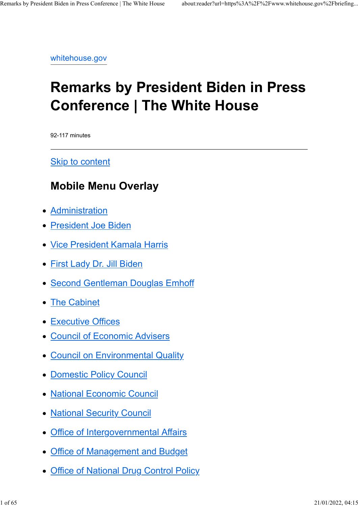whitehouse.gov

# Remarks by President Biden in Press Conference | The White House

92-117 minutes

Skip to content

## Mobile Menu Overlay

- Administration
- President Joe Biden
- Vice President Kamala Harris
- First Lady Dr. Jill Biden
- Second Gentleman Douglas Emhoff
- The Cabinet
- Executive Offices
- Council of Economic Advisers
- Council on Environmental Quality
- Domestic Policy Council
- National Economic Council
- National Security Council
- Office of Intergovernmental Affairs
- Office of Management and Budget
- Office of National Drug Control Policy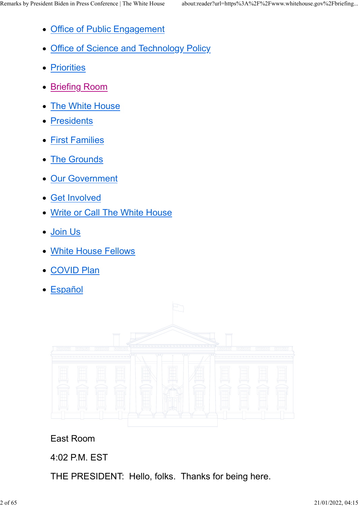- Office of Public Engagement
- Office of Science and Technology Policy
- **Priorities**
- Briefing Room
- The White House
- Presidents
- First Families
- The Grounds
- Our Government
- Get Involved
- Write or Call The White House
- Join Us
- White House Fellows
- COVID Plan
- Español



East Room

### 4:02 P.M. EST

THE PRESIDENT: Hello, folks. Thanks for being here.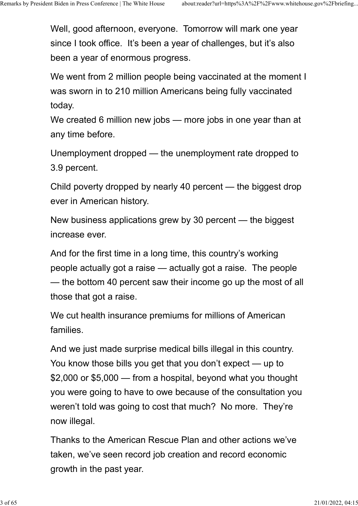Well, good afternoon, everyone. Tomorrow will mark one year since I took office. It's been a year of challenges, but it's also been a year of enormous progress.

We went from 2 million people being vaccinated at the moment I was sworn in to 210 million Americans being fully vaccinated today.

We created 6 million new jobs — more jobs in one year than at any time before.

Unemployment dropped — the unemployment rate dropped to 3.9 percent.

Child poverty dropped by nearly 40 percent — the biggest drop ever in American history.

New business applications grew by 30 percent — the biggest increase ever.

And for the first time in a long time, this country's working people actually got a raise — actually got a raise. The people — the bottom 40 percent saw their income go up the most of all those that got a raise.

We cut health insurance premiums for millions of American families.

And we just made surprise medical bills illegal in this country. You know those bills you get that you don't expect — up to \$2,000 or \$5,000 — from a hospital, beyond what you thought you were going to have to owe because of the consultation you weren't told was going to cost that much? No more. They're now illegal.

Thanks to the American Rescue Plan and other actions we've taken, we've seen record job creation and record economic growth in the past year.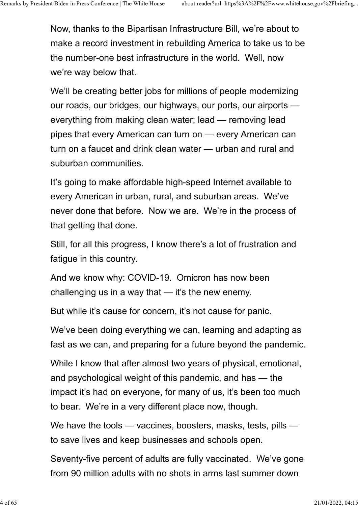Now, thanks to the Bipartisan Infrastructure Bill, we're about to make a record investment in rebuilding America to take us to be the number-one best infrastructure in the world. Well, now we're way below that.

We'll be creating better jobs for millions of people modernizing our roads, our bridges, our highways, our ports, our airports everything from making clean water; lead — removing lead pipes that every American can turn on — every American can turn on a faucet and drink clean water — urban and rural and suburban communities.

It's going to make affordable high-speed Internet available to every American in urban, rural, and suburban areas. We've never done that before. Now we are. We're in the process of that getting that done.

Still, for all this progress, I know there's a lot of frustration and fatigue in this country.

And we know why: COVID-19. Omicron has now been challenging us in a way that — it's the new enemy.

But while it's cause for concern, it's not cause for panic.

We've been doing everything we can, learning and adapting as fast as we can, and preparing for a future beyond the pandemic.

While I know that after almost two years of physical, emotional, and psychological weight of this pandemic, and has — the impact it's had on everyone, for many of us, it's been too much to bear. We're in a very different place now, though.

We have the tools — vaccines, boosters, masks, tests, pills to save lives and keep businesses and schools open.

Seventy-five percent of adults are fully vaccinated. We've gone from 90 million adults with no shots in arms last summer down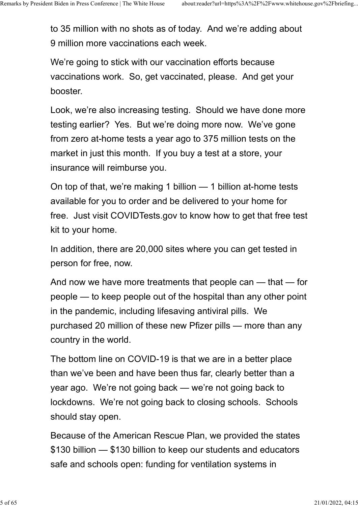to 35 million with no shots as of today. And we're adding about 9 million more vaccinations each week.

We're going to stick with our vaccination efforts because vaccinations work. So, get vaccinated, please. And get your booster.

Look, we're also increasing testing. Should we have done more testing earlier? Yes. But we're doing more now. We've gone from zero at-home tests a year ago to 375 million tests on the market in just this month. If you buy a test at a store, your insurance will reimburse you.

On top of that, we're making 1 billion — 1 billion at-home tests available for you to order and be delivered to your home for free. Just visit COVIDTests.gov to know how to get that free test kit to your home.

In addition, there are 20,000 sites where you can get tested in person for free, now.

And now we have more treatments that people can — that — for people — to keep people out of the hospital than any other point in the pandemic, including lifesaving antiviral pills. We purchased 20 million of these new Pfizer pills — more than any country in the world.

The bottom line on COVID-19 is that we are in a better place than we've been and have been thus far, clearly better than a year ago. We're not going back — we're not going back to lockdowns. We're not going back to closing schools. Schools should stay open.

Because of the American Rescue Plan, we provided the states \$130 billion — \$130 billion to keep our students and educators safe and schools open: funding for ventilation systems in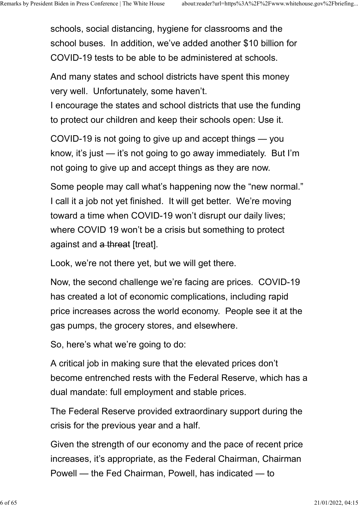schools, social distancing, hygiene for classrooms and the school buses. In addition, we've added another \$10 billion for COVID-19 tests to be able to be administered at schools.

And many states and school districts have spent this money very well. Unfortunately, some haven't.

I encourage the states and school districts that use the funding to protect our children and keep their schools open: Use it.

COVID-19 is not going to give up and accept things — you know, it's just — it's not going to go away immediately. But I'm not going to give up and accept things as they are now.

Some people may call what's happening now the "new normal." I call it a job not yet finished. It will get better. We're moving toward a time when COVID-19 won't disrupt our daily lives; where COVID 19 won't be a crisis but something to protect against and a threat [treat].

Look, we're not there yet, but we will get there.

Now, the second challenge we're facing are prices. COVID-19 has created a lot of economic complications, including rapid price increases across the world economy. People see it at the gas pumps, the grocery stores, and elsewhere.

So, here's what we're going to do:

A critical job in making sure that the elevated prices don't become entrenched rests with the Federal Reserve, which has a dual mandate: full employment and stable prices.

The Federal Reserve provided extraordinary support during the crisis for the previous year and a half.

Given the strength of our economy and the pace of recent price increases, it's appropriate, as the Federal Chairman, Chairman Powell — the Fed Chairman, Powell, has indicated — to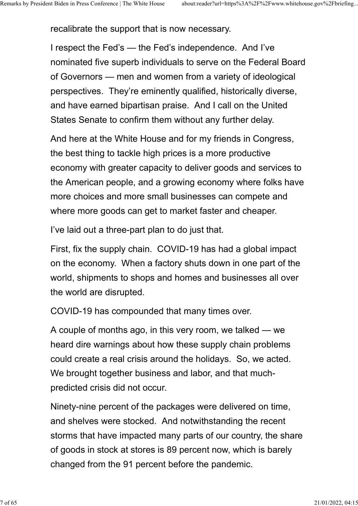recalibrate the support that is now necessary.

I respect the Fed's — the Fed's independence. And I've nominated five superb individuals to serve on the Federal Board of Governors — men and women from a variety of ideological perspectives. They're eminently qualified, historically diverse, and have earned bipartisan praise. And I call on the United States Senate to confirm them without any further delay.

And here at the White House and for my friends in Congress, the best thing to tackle high prices is a more productive economy with greater capacity to deliver goods and services to the American people, and a growing economy where folks have more choices and more small businesses can compete and where more goods can get to market faster and cheaper.

I've laid out a three-part plan to do just that.

First, fix the supply chain. COVID-19 has had a global impact on the economy. When a factory shuts down in one part of the world, shipments to shops and homes and businesses all over the world are disrupted.

COVID-19 has compounded that many times over.

A couple of months ago, in this very room, we talked — we heard dire warnings about how these supply chain problems could create a real crisis around the holidays. So, we acted. We brought together business and labor, and that muchpredicted crisis did not occur.

Ninety-nine percent of the packages were delivered on time, and shelves were stocked. And notwithstanding the recent storms that have impacted many parts of our country, the share of goods in stock at stores is 89 percent now, which is barely changed from the 91 percent before the pandemic.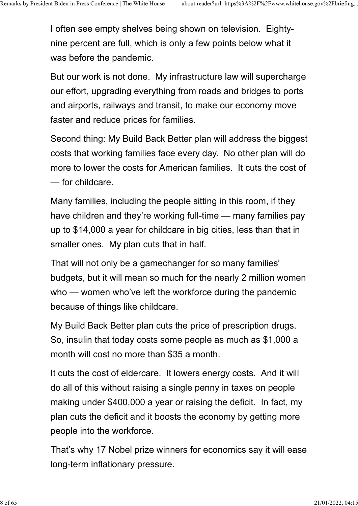I often see empty shelves being shown on television. Eightynine percent are full, which is only a few points below what it was before the pandemic.

But our work is not done. My infrastructure law will supercharge our effort, upgrading everything from roads and bridges to ports and airports, railways and transit, to make our economy move faster and reduce prices for families.

Second thing: My Build Back Better plan will address the biggest costs that working families face every day. No other plan will do more to lower the costs for American families. It cuts the cost of — for childcare.

Many families, including the people sitting in this room, if they have children and they're working full-time — many families pay up to \$14,000 a year for childcare in big cities, less than that in smaller ones. My plan cuts that in half.

That will not only be a gamechanger for so many families' budgets, but it will mean so much for the nearly 2 million women who — women who've left the workforce during the pandemic because of things like childcare.

My Build Back Better plan cuts the price of prescription drugs. So, insulin that today costs some people as much as \$1,000 a month will cost no more than \$35 a month.

It cuts the cost of eldercare. It lowers energy costs. And it will do all of this without raising a single penny in taxes on people making under \$400,000 a year or raising the deficit. In fact, my plan cuts the deficit and it boosts the economy by getting more people into the workforce.

That's why 17 Nobel prize winners for economics say it will ease long-term inflationary pressure.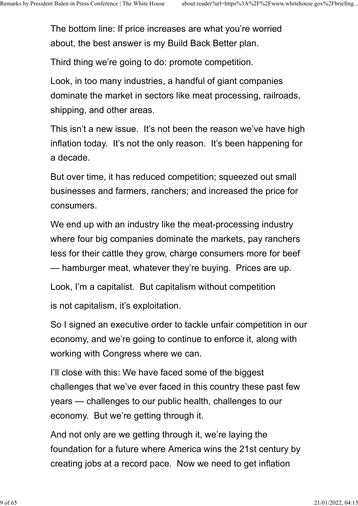The bottom line: If price increases are what you're worried about, the best answer is my Build Back Better plan.

Third thing we're going to do: promote competition.

Look, in too many industries, a handful of giant companies dominate the market in sectors like meat processing, railroads, shipping, and other areas.

This isn't a new issue. It's not been the reason we've have high inflation today. It's not the only reason. It's been happening for a decade.

But over time, it has reduced competition; squeezed out small businesses and farmers, ranchers; and increased the price for consumers.

We end up with an industry like the meat-processing industry where four big companies dominate the markets, pay ranchers less for their cattle they grow, charge consumers more for beef — hamburger meat, whatever they're buying. Prices are up.

Look, I'm a capitalist. But capitalism without competition

is not capitalism, it's exploitation.

So I signed an executive order to tackle unfair competition in our economy, and we're going to continue to enforce it, along with working with Congress where we can.

I'll close with this: We have faced some of the biggest challenges that we've ever faced in this country these past few years — challenges to our public health, challenges to our economy. But we're getting through it.

And not only are we getting through it, we're laying the foundation for a future where America wins the 21st century by creating jobs at a record pace. Now we need to get inflation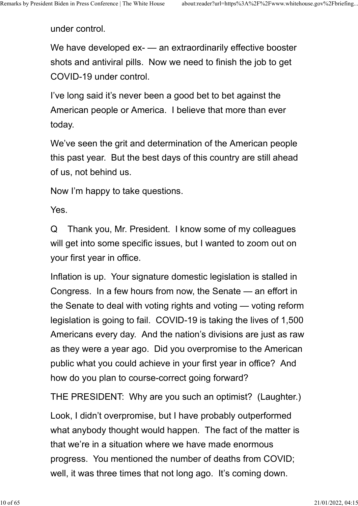under control.

We have developed ex- — an extraordinarily effective booster shots and antiviral pills. Now we need to finish the job to get COVID-19 under control.

I've long said it's never been a good bet to bet against the American people or America. I believe that more than ever today.

We've seen the grit and determination of the American people this past year. But the best days of this country are still ahead of us, not behind us.

Now I'm happy to take questions.

Yes.

Q Thank you, Mr. President. I know some of my colleagues will get into some specific issues, but I wanted to zoom out on your first year in office.

Inflation is up. Your signature domestic legislation is stalled in Congress. In a few hours from now, the Senate — an effort in the Senate to deal with voting rights and voting — voting reform legislation is going to fail. COVID-19 is taking the lives of 1,500 Americans every day. And the nation's divisions are just as raw as they were a year ago. Did you overpromise to the American public what you could achieve in your first year in office? And how do you plan to course-correct going forward?

THE PRESIDENT: Why are you such an optimist? (Laughter.)

Look, I didn't overpromise, but I have probably outperformed what anybody thought would happen. The fact of the matter is that we're in a situation where we have made enormous progress. You mentioned the number of deaths from COVID; well, it was three times that not long ago. It's coming down.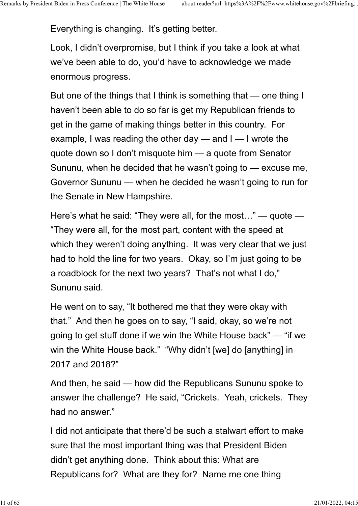Everything is changing. It's getting better.

Look, I didn't overpromise, but I think if you take a look at what we've been able to do, you'd have to acknowledge we made enormous progress.

But one of the things that I think is something that — one thing I haven't been able to do so far is get my Republican friends to get in the game of making things better in this country. For example, I was reading the other day — and I — I wrote the quote down so I don't misquote him — a quote from Senator Sununu, when he decided that he wasn't going to — excuse me, Governor Sununu — when he decided he wasn't going to run for the Senate in New Hampshire.

Here's what he said: "They were all, for the most…" — quote — "They were all, for the most part, content with the speed at which they weren't doing anything. It was very clear that we just had to hold the line for two years. Okay, so I'm just going to be a roadblock for the next two years? That's not what I do," Sununu said.

He went on to say, "It bothered me that they were okay with that." And then he goes on to say, "I said, okay, so we're not going to get stuff done if we win the White House back" — "if we win the White House back." "Why didn't [we] do [anything] in 2017 and 2018?"

And then, he said — how did the Republicans Sununu spoke to answer the challenge? He said, "Crickets. Yeah, crickets. They had no answer."

I did not anticipate that there'd be such a stalwart effort to make sure that the most important thing was that President Biden didn't get anything done. Think about this: What are Republicans for? What are they for? Name me one thing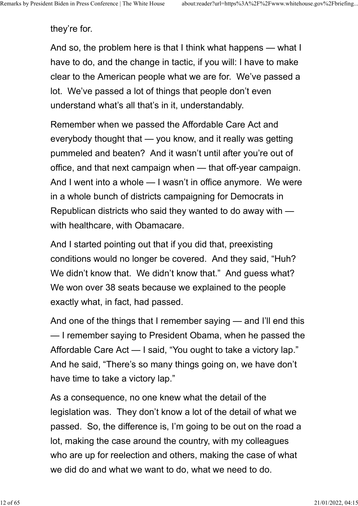they're for.

And so, the problem here is that I think what happens — what I have to do, and the change in tactic, if you will: I have to make clear to the American people what we are for. We've passed a lot. We've passed a lot of things that people don't even understand what's all that's in it, understandably.

Remember when we passed the Affordable Care Act and everybody thought that — you know, and it really was getting pummeled and beaten? And it wasn't until after you're out of office, and that next campaign when — that off-year campaign. And I went into a whole — I wasn't in office anymore. We were in a whole bunch of districts campaigning for Democrats in Republican districts who said they wanted to do away with with healthcare, with Obamacare.

And I started pointing out that if you did that, preexisting conditions would no longer be covered. And they said, "Huh? We didn't know that. We didn't know that." And guess what? We won over 38 seats because we explained to the people exactly what, in fact, had passed.

And one of the things that I remember saying — and I'll end this — I remember saying to President Obama, when he passed the Affordable Care Act — I said, "You ought to take a victory lap." And he said, "There's so many things going on, we have don't have time to take a victory lap."

As a consequence, no one knew what the detail of the legislation was. They don't know a lot of the detail of what we passed. So, the difference is, I'm going to be out on the road a lot, making the case around the country, with my colleagues who are up for reelection and others, making the case of what we did do and what we want to do, what we need to do.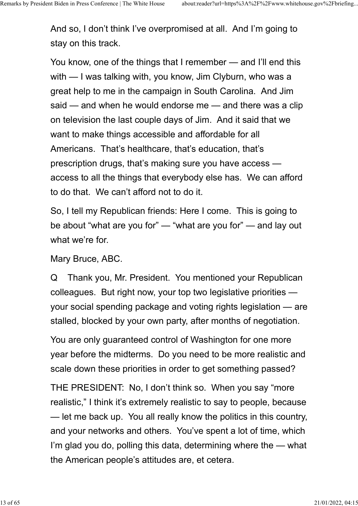And so, I don't think I've overpromised at all. And I'm going to stay on this track.

You know, one of the things that I remember — and I'll end this with — I was talking with, you know, Jim Clyburn, who was a great help to me in the campaign in South Carolina. And Jim said — and when he would endorse me — and there was a clip on television the last couple days of Jim. And it said that we want to make things accessible and affordable for all Americans. That's healthcare, that's education, that's prescription drugs, that's making sure you have access access to all the things that everybody else has. We can afford to do that. We can't afford not to do it.

So, I tell my Republican friends: Here I come. This is going to be about "what are you for" — "what are you for" — and lay out what we're for.

Mary Bruce, ABC.

Q Thank you, Mr. President. You mentioned your Republican colleagues. But right now, your top two legislative priorities your social spending package and voting rights legislation — are stalled, blocked by your own party, after months of negotiation.

You are only guaranteed control of Washington for one more year before the midterms. Do you need to be more realistic and scale down these priorities in order to get something passed?

THE PRESIDENT: No, I don't think so. When you say "more realistic," I think it's extremely realistic to say to people, because — let me back up. You all really know the politics in this country, and your networks and others. You've spent a lot of time, which I'm glad you do, polling this data, determining where the — what the American people's attitudes are, et cetera.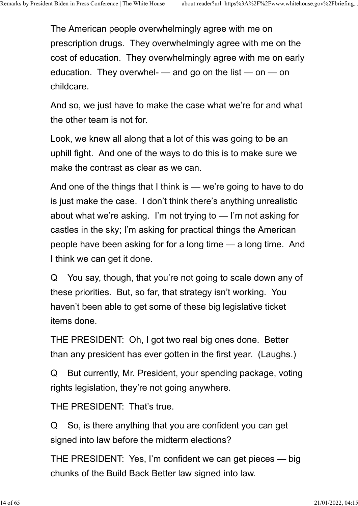The American people overwhelmingly agree with me on prescription drugs. They overwhelmingly agree with me on the cost of education. They overwhelmingly agree with me on early education. They overwhel-  $-$  and go on the list  $-$  on  $-$  on childcare.

And so, we just have to make the case what we're for and what the other team is not for.

Look, we knew all along that a lot of this was going to be an uphill fight. And one of the ways to do this is to make sure we make the contrast as clear as we can.

And one of the things that I think is — we're going to have to do is just make the case. I don't think there's anything unrealistic about what we're asking. I'm not trying to — I'm not asking for castles in the sky; I'm asking for practical things the American people have been asking for for a long time — a long time. And I think we can get it done.

Q You say, though, that you're not going to scale down any of these priorities. But, so far, that strategy isn't working. You haven't been able to get some of these big legislative ticket items done.

THE PRESIDENT: Oh, I got two real big ones done. Better than any president has ever gotten in the first year. (Laughs.)

Q But currently, Mr. President, your spending package, voting rights legislation, they're not going anywhere.

THE PRESIDENT: That's true.

Q So, is there anything that you are confident you can get signed into law before the midterm elections?

THE PRESIDENT: Yes, I'm confident we can get pieces — big chunks of the Build Back Better law signed into law.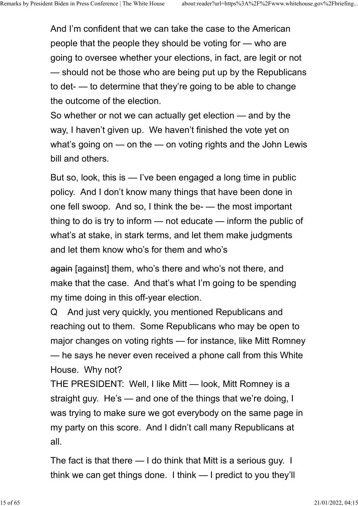And I'm confident that we can take the case to the American people that the people they should be voting for — who are going to oversee whether your elections, in fact, are legit or not — should not be those who are being put up by the Republicans to det- — to determine that they're going to be able to change the outcome of the election.

So whether or not we can actually get election — and by the way, I haven't given up. We haven't finished the vote yet on what's going on — on the — on voting rights and the John Lewis bill and others.

But so, look, this is — I've been engaged a long time in public policy. And I don't know many things that have been done in one fell swoop. And so, I think the be- — the most important thing to do is try to inform — not educate — inform the public of what's at stake, in stark terms, and let them make judgments and let them know who's for them and who's

again [against] them, who's there and who's not there, and make that the case. And that's what I'm going to be spending my time doing in this off-year election.

Q And just very quickly, you mentioned Republicans and reaching out to them. Some Republicans who may be open to major changes on voting rights — for instance, like Mitt Romney — he says he never even received a phone call from this White House. Why not?

THE PRESIDENT: Well, I like Mitt — look, Mitt Romney is a straight guy. He's — and one of the things that we're doing, I was trying to make sure we got everybody on the same page in my party on this score. And I didn't call many Republicans at all.

The fact is that there — I do think that Mitt is a serious guy. I think we can get things done. I think — I predict to you they'll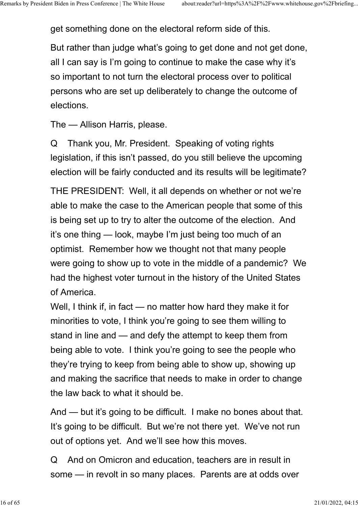get something done on the electoral reform side of this.

But rather than judge what's going to get done and not get done, all I can say is I'm going to continue to make the case why it's so important to not turn the electoral process over to political persons who are set up deliberately to change the outcome of elections.

The — Allison Harris, please.

Q Thank you, Mr. President. Speaking of voting rights legislation, if this isn't passed, do you still believe the upcoming election will be fairly conducted and its results will be legitimate?

THE PRESIDENT: Well, it all depends on whether or not we're able to make the case to the American people that some of this is being set up to try to alter the outcome of the election. And it's one thing — look, maybe I'm just being too much of an optimist. Remember how we thought not that many people were going to show up to vote in the middle of a pandemic? We had the highest voter turnout in the history of the United States of America.

Well, I think if, in fact — no matter how hard they make it for minorities to vote, I think you're going to see them willing to stand in line and — and defy the attempt to keep them from being able to vote. I think you're going to see the people who they're trying to keep from being able to show up, showing up and making the sacrifice that needs to make in order to change the law back to what it should be.

And — but it's going to be difficult. I make no bones about that. It's going to be difficult. But we're not there yet. We've not run out of options yet. And we'll see how this moves.

Q And on Omicron and education, teachers are in result in some — in revolt in so many places. Parents are at odds over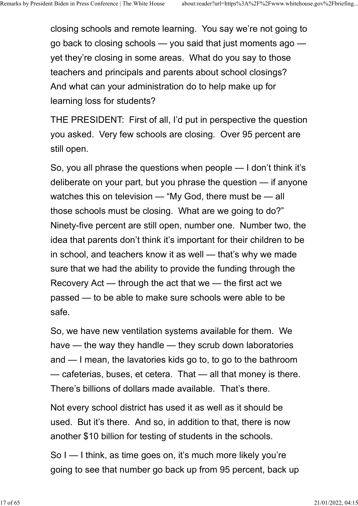closing schools and remote learning. You say we're not going to go back to closing schools — you said that just moments ago yet they're closing in some areas. What do you say to those teachers and principals and parents about school closings? And what can your administration do to help make up for learning loss for students?

THE PRESIDENT: First of all, I'd put in perspective the question you asked. Very few schools are closing. Over 95 percent are still open.

So, you all phrase the questions when people — I don't think it's deliberate on your part, but you phrase the question — if anyone watches this on television — "My God, there must be — all those schools must be closing. What are we going to do?" Ninety-five percent are still open, number one. Number two, the idea that parents don't think it's important for their children to be in school, and teachers know it as well — that's why we made sure that we had the ability to provide the funding through the Recovery Act — through the act that we — the first act we passed — to be able to make sure schools were able to be safe.

So, we have new ventilation systems available for them. We have — the way they handle — they scrub down laboratories and — I mean, the lavatories kids go to, to go to the bathroom — cafeterias, buses, et cetera. That — all that money is there. There's billions of dollars made available. That's there.

Not every school district has used it as well as it should be used. But it's there. And so, in addition to that, there is now another \$10 billion for testing of students in the schools.

So I — I think, as time goes on, it's much more likely you're going to see that number go back up from 95 percent, back up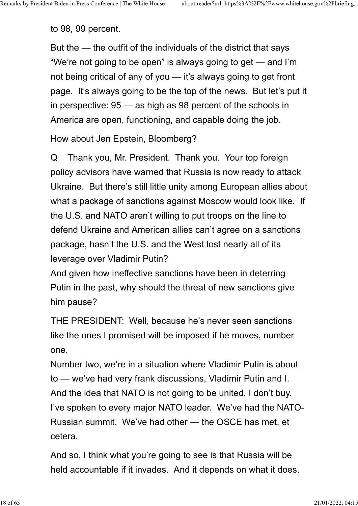to 98, 99 percent.

But the — the outfit of the individuals of the district that says "We're not going to be open" is always going to get — and I'm not being critical of any of you — it's always going to get front page. It's always going to be the top of the news. But let's put it in perspective: 95 — as high as 98 percent of the schools in America are open, functioning, and capable doing the job.

How about Jen Epstein, Bloomberg?

Q Thank you, Mr. President. Thank you. Your top foreign policy advisors have warned that Russia is now ready to attack Ukraine. But there's still little unity among European allies about what a package of sanctions against Moscow would look like. If the U.S. and NATO aren't willing to put troops on the line to defend Ukraine and American allies can't agree on a sanctions package, hasn't the U.S. and the West lost nearly all of its leverage over Vladimir Putin?

And given how ineffective sanctions have been in deterring Putin in the past, why should the threat of new sanctions give him pause?

THE PRESIDENT: Well, because he's never seen sanctions like the ones I promised will be imposed if he moves, number one.

Number two, we're in a situation where Vladimir Putin is about to — we've had very frank discussions, Vladimir Putin and I. And the idea that NATO is not going to be united, I don't buy. I've spoken to every major NATO leader. We've had the NATO-Russian summit. We've had other — the OSCE has met, et cetera.

And so, I think what you're going to see is that Russia will be held accountable if it invades. And it depends on what it does.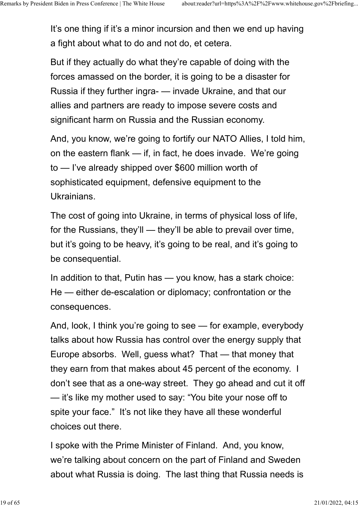It's one thing if it's a minor incursion and then we end up having a fight about what to do and not do, et cetera.

But if they actually do what they're capable of doing with the forces amassed on the border, it is going to be a disaster for Russia if they further ingra- — invade Ukraine, and that our allies and partners are ready to impose severe costs and significant harm on Russia and the Russian economy.

And, you know, we're going to fortify our NATO Allies, I told him, on the eastern flank — if, in fact, he does invade. We're going to — I've already shipped over \$600 million worth of sophisticated equipment, defensive equipment to the Ukrainians.

The cost of going into Ukraine, in terms of physical loss of life, for the Russians, they'll — they'll be able to prevail over time, but it's going to be heavy, it's going to be real, and it's going to be consequential.

In addition to that, Putin has — you know, has a stark choice: He — either de-escalation or diplomacy; confrontation or the consequences.

And, look, I think you're going to see — for example, everybody talks about how Russia has control over the energy supply that Europe absorbs. Well, guess what? That — that money that they earn from that makes about 45 percent of the economy. I don't see that as a one-way street. They go ahead and cut it off — it's like my mother used to say: "You bite your nose off to spite your face." It's not like they have all these wonderful choices out there.

I spoke with the Prime Minister of Finland. And, you know, we're talking about concern on the part of Finland and Sweden about what Russia is doing. The last thing that Russia needs is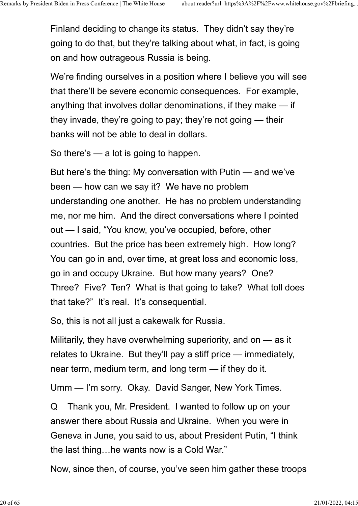Finland deciding to change its status. They didn't say they're going to do that, but they're talking about what, in fact, is going on and how outrageous Russia is being.

We're finding ourselves in a position where I believe you will see that there'll be severe economic consequences. For example, anything that involves dollar denominations, if they make — if they invade, they're going to pay; they're not going — their banks will not be able to deal in dollars.

So there's — a lot is going to happen.

But here's the thing: My conversation with Putin — and we've been — how can we say it? We have no problem understanding one another. He has no problem understanding me, nor me him. And the direct conversations where I pointed out — I said, "You know, you've occupied, before, other countries. But the price has been extremely high. How long? You can go in and, over time, at great loss and economic loss, go in and occupy Ukraine. But how many years? One? Three? Five? Ten? What is that going to take? What toll does that take?" It's real. It's consequential.

So, this is not all just a cakewalk for Russia.

Militarily, they have overwhelming superiority, and on — as it relates to Ukraine. But they'll pay a stiff price — immediately, near term, medium term, and long term — if they do it.

Umm — I'm sorry. Okay. David Sanger, New York Times.

Q Thank you, Mr. President. I wanted to follow up on your answer there about Russia and Ukraine. When you were in Geneva in June, you said to us, about President Putin, "I think the last thing…he wants now is a Cold War."

Now, since then, of course, you've seen him gather these troops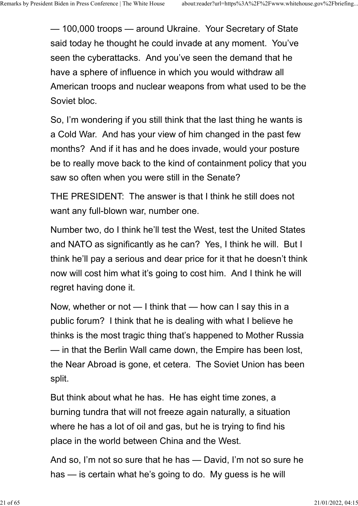— 100,000 troops — around Ukraine. Your Secretary of State said today he thought he could invade at any moment. You've seen the cyberattacks. And you've seen the demand that he have a sphere of influence in which you would withdraw all American troops and nuclear weapons from what used to be the Soviet bloc.

So, I'm wondering if you still think that the last thing he wants is a Cold War. And has your view of him changed in the past few months? And if it has and he does invade, would your posture be to really move back to the kind of containment policy that you saw so often when you were still in the Senate?

THE PRESIDENT: The answer is that I think he still does not want any full-blown war, number one.

Number two, do I think he'll test the West, test the United States and NATO as significantly as he can? Yes, I think he will. But I think he'll pay a serious and dear price for it that he doesn't think now will cost him what it's going to cost him. And I think he will regret having done it.

Now, whether or not — I think that — how can I say this in a public forum? I think that he is dealing with what I believe he thinks is the most tragic thing that's happened to Mother Russia — in that the Berlin Wall came down, the Empire has been lost, the Near Abroad is gone, et cetera. The Soviet Union has been split.

But think about what he has. He has eight time zones, a burning tundra that will not freeze again naturally, a situation where he has a lot of oil and gas, but he is trying to find his place in the world between China and the West.

And so, I'm not so sure that he has — David, I'm not so sure he has — is certain what he's going to do. My guess is he will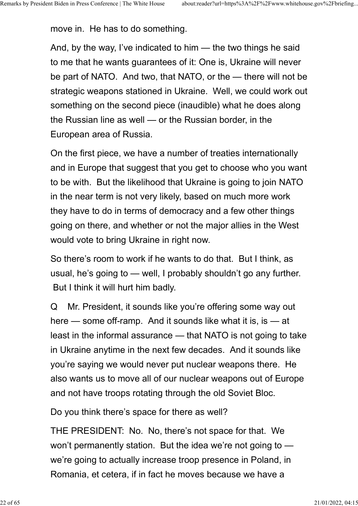move in. He has to do something.

And, by the way, I've indicated to him — the two things he said to me that he wants guarantees of it: One is, Ukraine will never be part of NATO. And two, that NATO, or the — there will not be strategic weapons stationed in Ukraine. Well, we could work out something on the second piece (inaudible) what he does along the Russian line as well — or the Russian border, in the European area of Russia.

On the first piece, we have a number of treaties internationally and in Europe that suggest that you get to choose who you want to be with. But the likelihood that Ukraine is going to join NATO in the near term is not very likely, based on much more work they have to do in terms of democracy and a few other things going on there, and whether or not the major allies in the West would vote to bring Ukraine in right now.

So there's room to work if he wants to do that. But I think, as usual, he's going to — well, I probably shouldn't go any further. But I think it will hurt him badly.

Q Mr. President, it sounds like you're offering some way out here — some off-ramp. And it sounds like what it is, is — at least in the informal assurance — that NATO is not going to take in Ukraine anytime in the next few decades. And it sounds like you're saying we would never put nuclear weapons there. He also wants us to move all of our nuclear weapons out of Europe and not have troops rotating through the old Soviet Bloc.

Do you think there's space for there as well?

THE PRESIDENT: No. No, there's not space for that. We won't permanently station. But the idea we're not going to we're going to actually increase troop presence in Poland, in Romania, et cetera, if in fact he moves because we have a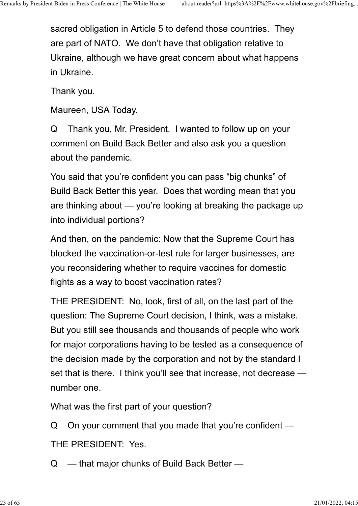sacred obligation in Article 5 to defend those countries. They are part of NATO. We don't have that obligation relative to Ukraine, although we have great concern about what happens in Ukraine.

Thank you.

Maureen, USA Today.

Q Thank you, Mr. President. I wanted to follow up on your comment on Build Back Better and also ask you a question about the pandemic.

You said that you're confident you can pass "big chunks" of Build Back Better this year. Does that wording mean that you are thinking about — you're looking at breaking the package up into individual portions?

And then, on the pandemic: Now that the Supreme Court has blocked the vaccination-or-test rule for larger businesses, are you reconsidering whether to require vaccines for domestic flights as a way to boost vaccination rates?

THE PRESIDENT: No, look, first of all, on the last part of the question: The Supreme Court decision, I think, was a mistake. But you still see thousands and thousands of people who work for major corporations having to be tested as a consequence of the decision made by the corporation and not by the standard I set that is there. I think you'll see that increase, not decrease number one.

What was the first part of your question?

Q On your comment that you made that you're confident —

THE PRESIDENT: Yes.

Q — that major chunks of Build Back Better —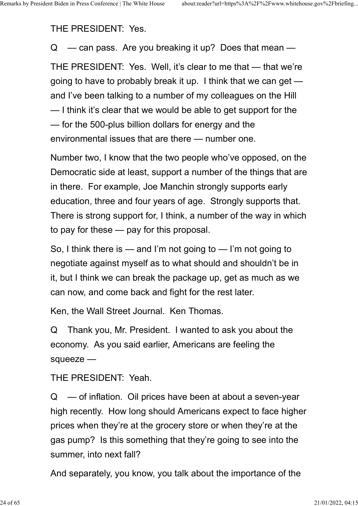THE PRESIDENT: Yes.

 $Q \equiv$  can pass. Are you breaking it up? Does that mean  $\equiv$ THE PRESIDENT: Yes. Well, it's clear to me that — that we're going to have to probably break it up. I think that we can get and I've been talking to a number of my colleagues on the Hill — I think it's clear that we would be able to get support for the — for the 500-plus billion dollars for energy and the environmental issues that are there — number one.

Number two, I know that the two people who've opposed, on the Democratic side at least, support a number of the things that are in there. For example, Joe Manchin strongly supports early education, three and four years of age. Strongly supports that. There is strong support for, I think, a number of the way in which to pay for these — pay for this proposal.

So, I think there is — and I'm not going to — I'm not going to negotiate against myself as to what should and shouldn't be in it, but I think we can break the package up, get as much as we can now, and come back and fight for the rest later.

Ken, the Wall Street Journal. Ken Thomas.

Q Thank you, Mr. President. I wanted to ask you about the economy. As you said earlier, Americans are feeling the squeeze —

THE PRESIDENT: Yeah.

 $Q \equiv$  of inflation. Oil prices have been at about a seven-year high recently. How long should Americans expect to face higher prices when they're at the grocery store or when they're at the gas pump? Is this something that they're going to see into the summer, into next fall?

And separately, you know, you talk about the importance of the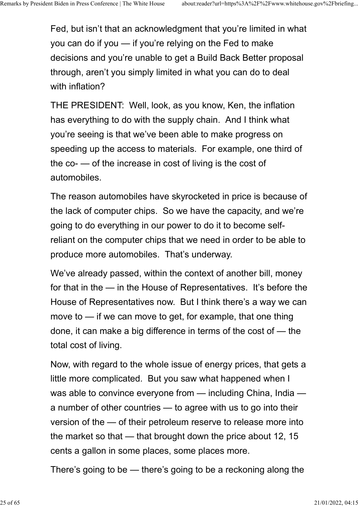Fed, but isn't that an acknowledgment that you're limited in what you can do if you — if you're relying on the Fed to make decisions and you're unable to get a Build Back Better proposal through, aren't you simply limited in what you can do to deal with inflation?

THE PRESIDENT: Well, look, as you know, Ken, the inflation has everything to do with the supply chain. And I think what you're seeing is that we've been able to make progress on speeding up the access to materials. For example, one third of the co- — of the increase in cost of living is the cost of automobiles.

The reason automobiles have skyrocketed in price is because of the lack of computer chips. So we have the capacity, and we're going to do everything in our power to do it to become selfreliant on the computer chips that we need in order to be able to produce more automobiles. That's underway.

We've already passed, within the context of another bill, money for that in the — in the House of Representatives. It's before the House of Representatives now. But I think there's a way we can move to — if we can move to get, for example, that one thing done, it can make a big difference in terms of the cost of — the total cost of living.

Now, with regard to the whole issue of energy prices, that gets a little more complicated. But you saw what happened when I was able to convince everyone from — including China, India a number of other countries — to agree with us to go into their version of the — of their petroleum reserve to release more into the market so that — that brought down the price about 12, 15 cents a gallon in some places, some places more.

There's going to be — there's going to be a reckoning along the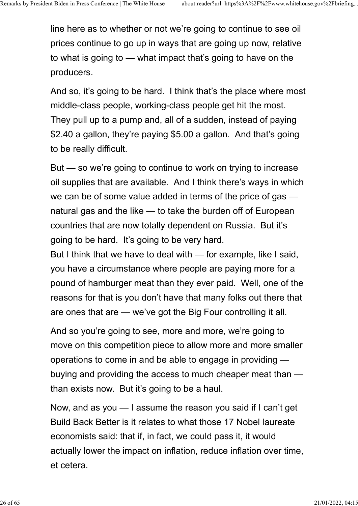line here as to whether or not we're going to continue to see oil prices continue to go up in ways that are going up now, relative to what is going to — what impact that's going to have on the producers.

And so, it's going to be hard. I think that's the place where most middle-class people, working-class people get hit the most. They pull up to a pump and, all of a sudden, instead of paying \$2.40 a gallon, they're paying \$5.00 a gallon. And that's going to be really difficult.

But — so we're going to continue to work on trying to increase oil supplies that are available. And I think there's ways in which we can be of some value added in terms of the price of gas natural gas and the like — to take the burden off of European countries that are now totally dependent on Russia. But it's going to be hard. It's going to be very hard.

But I think that we have to deal with — for example, like I said, you have a circumstance where people are paying more for a pound of hamburger meat than they ever paid. Well, one of the reasons for that is you don't have that many folks out there that are ones that are — we've got the Big Four controlling it all.

And so you're going to see, more and more, we're going to move on this competition piece to allow more and more smaller operations to come in and be able to engage in providing buying and providing the access to much cheaper meat than than exists now. But it's going to be a haul.

Now, and as you — I assume the reason you said if I can't get Build Back Better is it relates to what those 17 Nobel laureate economists said: that if, in fact, we could pass it, it would actually lower the impact on inflation, reduce inflation over time, et cetera.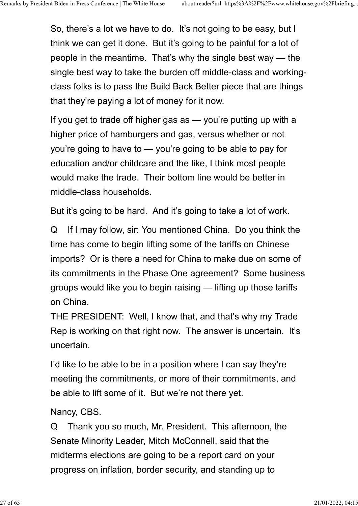So, there's a lot we have to do. It's not going to be easy, but I think we can get it done. But it's going to be painful for a lot of people in the meantime. That's why the single best way — the single best way to take the burden off middle-class and workingclass folks is to pass the Build Back Better piece that are things that they're paying a lot of money for it now.

If you get to trade off higher gas as — you're putting up with a higher price of hamburgers and gas, versus whether or not you're going to have to — you're going to be able to pay for education and/or childcare and the like, I think most people would make the trade. Their bottom line would be better in middle-class households.

But it's going to be hard. And it's going to take a lot of work.

Q If I may follow, sir: You mentioned China. Do you think the time has come to begin lifting some of the tariffs on Chinese imports? Or is there a need for China to make due on some of its commitments in the Phase One agreement? Some business groups would like you to begin raising — lifting up those tariffs on China.

THE PRESIDENT: Well, I know that, and that's why my Trade Rep is working on that right now. The answer is uncertain. It's uncertain.

I'd like to be able to be in a position where I can say they're meeting the commitments, or more of their commitments, and be able to lift some of it. But we're not there yet.

#### Nancy, CBS.

Q Thank you so much, Mr. President. This afternoon, the Senate Minority Leader, Mitch McConnell, said that the midterms elections are going to be a report card on your progress on inflation, border security, and standing up to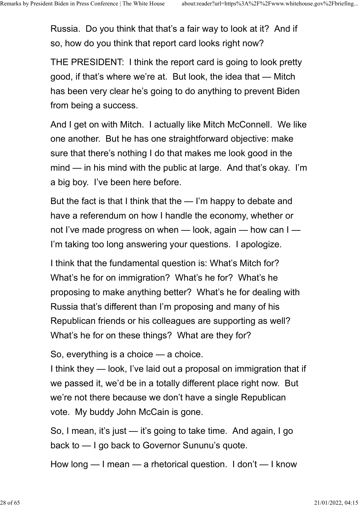Russia. Do you think that that's a fair way to look at it? And if so, how do you think that report card looks right now?

THE PRESIDENT: I think the report card is going to look pretty good, if that's where we're at. But look, the idea that — Mitch has been very clear he's going to do anything to prevent Biden from being a success.

And I get on with Mitch. I actually like Mitch McConnell. We like one another. But he has one straightforward objective: make sure that there's nothing I do that makes me look good in the mind — in his mind with the public at large. And that's okay. I'm a big boy. I've been here before.

But the fact is that I think that the — I'm happy to debate and have a referendum on how I handle the economy, whether or not I've made progress on when — look, again — how can I — I'm taking too long answering your questions. I apologize.

I think that the fundamental question is: What's Mitch for? What's he for on immigration? What's he for? What's he proposing to make anything better? What's he for dealing with Russia that's different than I'm proposing and many of his Republican friends or his colleagues are supporting as well? What's he for on these things? What are they for?

So, everything is a choice — a choice.

I think they — look, I've laid out a proposal on immigration that if we passed it, we'd be in a totally different place right now. But we're not there because we don't have a single Republican vote. My buddy John McCain is gone.

So, I mean, it's just — it's going to take time. And again, I go back to — I go back to Governor Sununu's quote.

How long — I mean — a rhetorical question. I don't — I know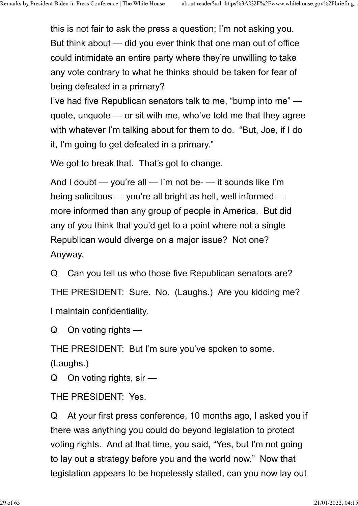this is not fair to ask the press a question; I'm not asking you. But think about — did you ever think that one man out of office could intimidate an entire party where they're unwilling to take any vote contrary to what he thinks should be taken for fear of being defeated in a primary?

I've had five Republican senators talk to me, "bump into me" quote, unquote — or sit with me, who've told me that they agree with whatever I'm talking about for them to do. "But, Joe, if I do it, I'm going to get defeated in a primary."

We got to break that. That's got to change.

And I doubt — you're all — I'm not be- — it sounds like I'm being solicitous — you're all bright as hell, well informed more informed than any group of people in America. But did any of you think that you'd get to a point where not a single Republican would diverge on a major issue? Not one? Anyway.

Q Can you tell us who those five Republican senators are? THE PRESIDENT: Sure. No. (Laughs.) Are you kidding me? I maintain confidentiality.

Q On voting rights —

THE PRESIDENT: But I'm sure you've spoken to some.

(Laughs.)

Q On voting rights, sir —

THE PRESIDENT: Yes.

Q At your first press conference, 10 months ago, I asked you if there was anything you could do beyond legislation to protect voting rights. And at that time, you said, "Yes, but I'm not going to lay out a strategy before you and the world now." Now that legislation appears to be hopelessly stalled, can you now lay out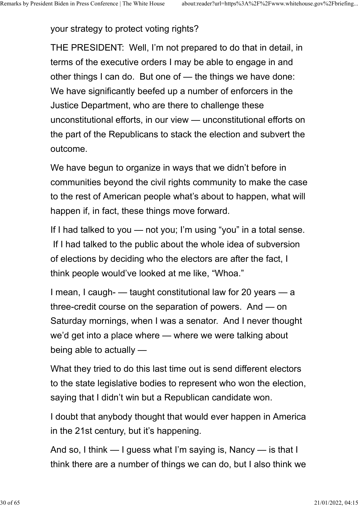your strategy to protect voting rights?

THE PRESIDENT: Well, I'm not prepared to do that in detail, in terms of the executive orders I may be able to engage in and other things I can do. But one of — the things we have done: We have significantly beefed up a number of enforcers in the Justice Department, who are there to challenge these unconstitutional efforts, in our view — unconstitutional efforts on the part of the Republicans to stack the election and subvert the outcome.

We have begun to organize in ways that we didn't before in communities beyond the civil rights community to make the case to the rest of American people what's about to happen, what will happen if, in fact, these things move forward.

If I had talked to you — not you; I'm using "you" in a total sense. If I had talked to the public about the whole idea of subversion of elections by deciding who the electors are after the fact, I think people would've looked at me like, "Whoa."

I mean, I caugh- — taught constitutional law for 20 years — a three-credit course on the separation of powers. And — on Saturday mornings, when I was a senator. And I never thought we'd get into a place where — where we were talking about being able to actually —

What they tried to do this last time out is send different electors to the state legislative bodies to represent who won the election, saying that I didn't win but a Republican candidate won.

I doubt that anybody thought that would ever happen in America in the 21st century, but it's happening.

And so, I think — I guess what I'm saying is, Nancy — is that I think there are a number of things we can do, but I also think we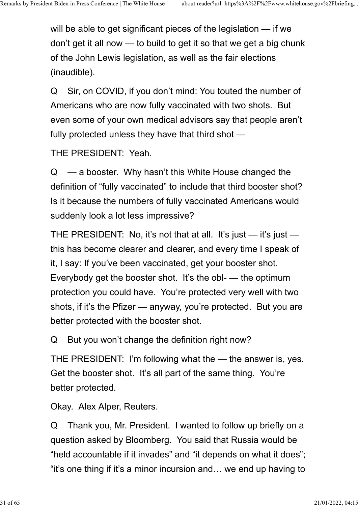will be able to get significant pieces of the legislation — if we don't get it all now — to build to get it so that we get a big chunk of the John Lewis legislation, as well as the fair elections (inaudible).

Q Sir, on COVID, if you don't mind: You touted the number of Americans who are now fully vaccinated with two shots. But even some of your own medical advisors say that people aren't fully protected unless they have that third shot —

THE PRESIDENT: Yeah.

 $Q \equiv$  a booster. Why hasn't this White House changed the definition of "fully vaccinated" to include that third booster shot? Is it because the numbers of fully vaccinated Americans would suddenly look a lot less impressive?

THE PRESIDENT: No, it's not that at all. It's just — it's just this has become clearer and clearer, and every time I speak of it, I say: If you've been vaccinated, get your booster shot. Everybody get the booster shot. It's the obl- — the optimum protection you could have. You're protected very well with two shots, if it's the Pfizer — anyway, you're protected. But you are better protected with the booster shot.

Q But you won't change the definition right now?

THE PRESIDENT: I'm following what the — the answer is, yes. Get the booster shot. It's all part of the same thing. You're better protected.

Okay. Alex Alper, Reuters.

Q Thank you, Mr. President. I wanted to follow up briefly on a question asked by Bloomberg. You said that Russia would be "held accountable if it invades" and "it depends on what it does"; "it's one thing if it's a minor incursion and… we end up having to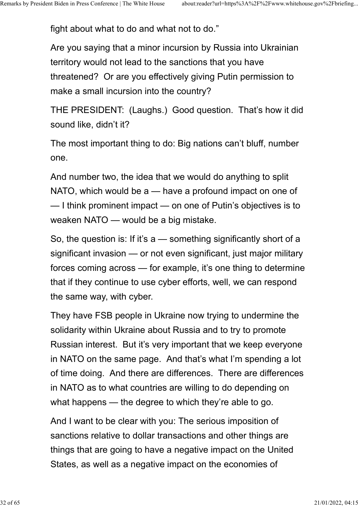fight about what to do and what not to do."

Are you saying that a minor incursion by Russia into Ukrainian territory would not lead to the sanctions that you have threatened? Or are you effectively giving Putin permission to make a small incursion into the country?

THE PRESIDENT: (Laughs.) Good question. That's how it did sound like, didn't it?

The most important thing to do: Big nations can't bluff, number one.

And number two, the idea that we would do anything to split NATO, which would be a — have a profound impact on one of — I think prominent impact — on one of Putin's objectives is to weaken NATO — would be a big mistake.

So, the question is: If it's a — something significantly short of a significant invasion — or not even significant, just major military forces coming across — for example, it's one thing to determine that if they continue to use cyber efforts, well, we can respond the same way, with cyber.

They have FSB people in Ukraine now trying to undermine the solidarity within Ukraine about Russia and to try to promote Russian interest. But it's very important that we keep everyone in NATO on the same page. And that's what I'm spending a lot of time doing. And there are differences. There are differences in NATO as to what countries are willing to do depending on what happens — the degree to which they're able to go.

And I want to be clear with you: The serious imposition of sanctions relative to dollar transactions and other things are things that are going to have a negative impact on the United States, as well as a negative impact on the economies of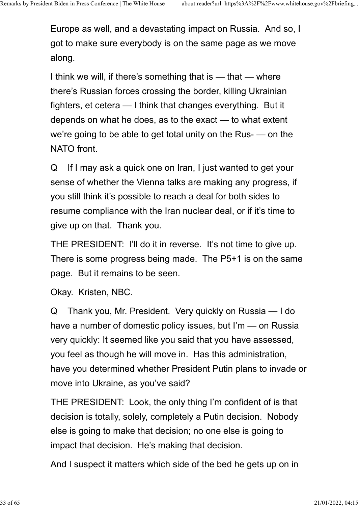Europe as well, and a devastating impact on Russia. And so, I got to make sure everybody is on the same page as we move along.

I think we will, if there's something that is — that — where there's Russian forces crossing the border, killing Ukrainian fighters, et cetera — I think that changes everything. But it depends on what he does, as to the exact — to what extent we're going to be able to get total unity on the Rus- — on the NATO front.

Q If I may ask a quick one on Iran, I just wanted to get your sense of whether the Vienna talks are making any progress, if you still think it's possible to reach a deal for both sides to resume compliance with the Iran nuclear deal, or if it's time to give up on that. Thank you.

THE PRESIDENT: I'll do it in reverse. It's not time to give up. There is some progress being made. The P5+1 is on the same page. But it remains to be seen.

Okay. Kristen, NBC.

Q Thank you, Mr. President. Very quickly on Russia — I do have a number of domestic policy issues, but I'm — on Russia very quickly: It seemed like you said that you have assessed, you feel as though he will move in. Has this administration, have you determined whether President Putin plans to invade or move into Ukraine, as you've said?

THE PRESIDENT: Look, the only thing I'm confident of is that decision is totally, solely, completely a Putin decision. Nobody else is going to make that decision; no one else is going to impact that decision. He's making that decision.

And I suspect it matters which side of the bed he gets up on in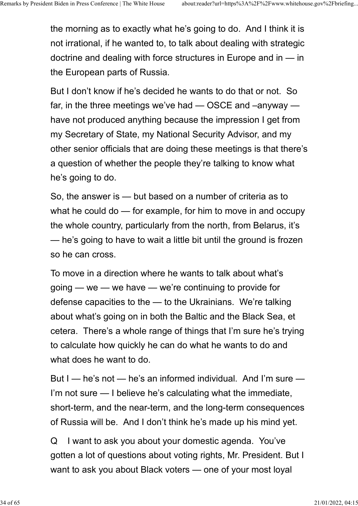the morning as to exactly what he's going to do. And I think it is not irrational, if he wanted to, to talk about dealing with strategic doctrine and dealing with force structures in Europe and in — in the European parts of Russia.

But I don't know if he's decided he wants to do that or not. So far, in the three meetings we've had — OSCE and –anyway have not produced anything because the impression I get from my Secretary of State, my National Security Advisor, and my other senior officials that are doing these meetings is that there's a question of whether the people they're talking to know what he's going to do.

So, the answer is — but based on a number of criteria as to what he could do — for example, for him to move in and occupy the whole country, particularly from the north, from Belarus, it's — he's going to have to wait a little bit until the ground is frozen so he can cross.

To move in a direction where he wants to talk about what's going — we — we have — we're continuing to provide for defense capacities to the — to the Ukrainians. We're talking about what's going on in both the Baltic and the Black Sea, et cetera. There's a whole range of things that I'm sure he's trying to calculate how quickly he can do what he wants to do and what does he want to do.

But I — he's not — he's an informed individual. And I'm sure — I'm not sure — I believe he's calculating what the immediate, short-term, and the near-term, and the long-term consequences of Russia will be. And I don't think he's made up his mind yet.

Q I want to ask you about your domestic agenda. You've gotten a lot of questions about voting rights, Mr. President. But I want to ask you about Black voters — one of your most loyal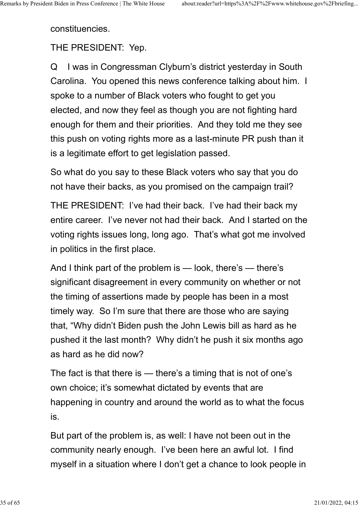constituencies.

THE PRESIDENT: Yep.

Q I was in Congressman Clyburn's district yesterday in South Carolina. You opened this news conference talking about him. I spoke to a number of Black voters who fought to get you elected, and now they feel as though you are not fighting hard enough for them and their priorities. And they told me they see this push on voting rights more as a last-minute PR push than it is a legitimate effort to get legislation passed.

So what do you say to these Black voters who say that you do not have their backs, as you promised on the campaign trail?

THE PRESIDENT: I've had their back. I've had their back my entire career. I've never not had their back. And I started on the voting rights issues long, long ago. That's what got me involved in politics in the first place.

And I think part of the problem is — look, there's — there's significant disagreement in every community on whether or not the timing of assertions made by people has been in a most timely way. So I'm sure that there are those who are saying that, "Why didn't Biden push the John Lewis bill as hard as he pushed it the last month? Why didn't he push it six months ago as hard as he did now?

The fact is that there is — there's a timing that is not of one's own choice; it's somewhat dictated by events that are happening in country and around the world as to what the focus is.

But part of the problem is, as well: I have not been out in the community nearly enough. I've been here an awful lot. I find myself in a situation where I don't get a chance to look people in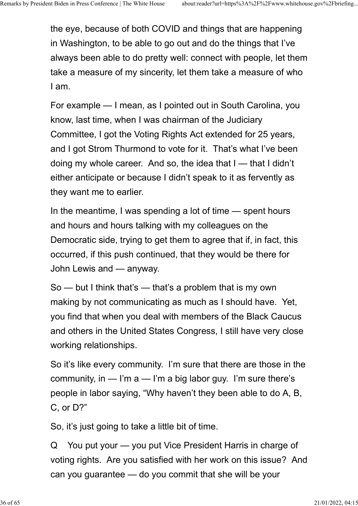the eye, because of both COVID and things that are happening in Washington, to be able to go out and do the things that I've always been able to do pretty well: connect with people, let them take a measure of my sincerity, let them take a measure of who I am.

For example — I mean, as I pointed out in South Carolina, you know, last time, when I was chairman of the Judiciary Committee, I got the Voting Rights Act extended for 25 years, and I got Strom Thurmond to vote for it. That's what I've been doing my whole career. And so, the idea that I — that I didn't either anticipate or because I didn't speak to it as fervently as they want me to earlier.

In the meantime, I was spending a lot of time — spent hours and hours and hours talking with my colleagues on the Democratic side, trying to get them to agree that if, in fact, this occurred, if this push continued, that they would be there for John Lewis and — anyway.

So — but I think that's — that's a problem that is my own making by not communicating as much as I should have. Yet, you find that when you deal with members of the Black Caucus and others in the United States Congress, I still have very close working relationships.

So it's like every community. I'm sure that there are those in the community, in  $-$  I'm  $a -$ I'm a big labor guy. I'm sure there's people in labor saying, "Why haven't they been able to do A, B, C, or D?"

So, it's just going to take a little bit of time.

Q You put your — you put Vice President Harris in charge of voting rights. Are you satisfied with her work on this issue? And can you guarantee — do you commit that she will be your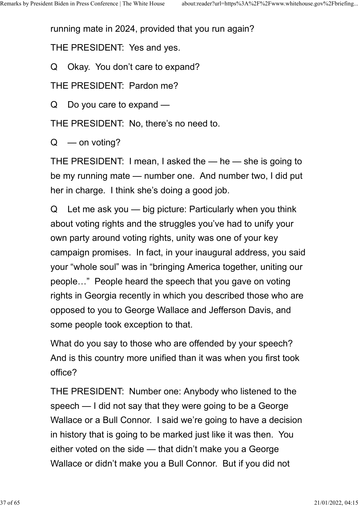running mate in 2024, provided that you run again?

THE PRESIDENT: Yes and yes.

Q Okay. You don't care to expand?

THE PRESIDENT: Pardon me?

Q Do you care to expand —

THE PRESIDENT: No, there's no need to.

 $Q \equiv$  on voting?

THE PRESIDENT: I mean, I asked the — he — she is going to be my running mate — number one. And number two, I did put her in charge. I think she's doing a good job.

Q Let me ask you — big picture: Particularly when you think about voting rights and the struggles you've had to unify your own party around voting rights, unity was one of your key campaign promises. In fact, in your inaugural address, you said your "whole soul" was in "bringing America together, uniting our people…" People heard the speech that you gave on voting rights in Georgia recently in which you described those who are opposed to you to George Wallace and Jefferson Davis, and some people took exception to that.

What do you say to those who are offended by your speech? And is this country more unified than it was when you first took office?

THE PRESIDENT: Number one: Anybody who listened to the speech — I did not say that they were going to be a George Wallace or a Bull Connor. I said we're going to have a decision in history that is going to be marked just like it was then. You either voted on the side — that didn't make you a George Wallace or didn't make you a Bull Connor. But if you did not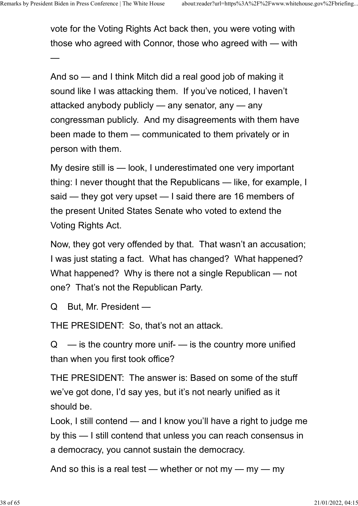vote for the Voting Rights Act back then, you were voting with those who agreed with Connor, those who agreed with — with

 $\rightarrow$  . The contract of the contract of the contract of the contract of the contract of the contract of the contract of

And so — and I think Mitch did a real good job of making it sound like I was attacking them. If you've noticed, I haven't attacked anybody publicly — any senator, any — any congressman publicly. And my disagreements with them have been made to them — communicated to them privately or in person with them.

My desire still is — look, I underestimated one very important thing: I never thought that the Republicans — like, for example, I said — they got very upset — I said there are 16 members of the present United States Senate who voted to extend the Voting Rights Act.

Now, they got very offended by that. That wasn't an accusation; I was just stating a fact. What has changed? What happened? What happened? Why is there not a single Republican — not one? That's not the Republican Party.

Q But, Mr. President —

THE PRESIDENT: So, that's not an attack.

 $Q$  — is the country more unif- — is the country more unified than when you first took office?

THE PRESIDENT: The answer is: Based on some of the stuff we've got done, I'd say yes, but it's not nearly unified as it should be.

Look, I still contend — and I know you'll have a right to judge me by this — I still contend that unless you can reach consensus in a democracy, you cannot sustain the democracy.

And so this is a real test — whether or not my — my — my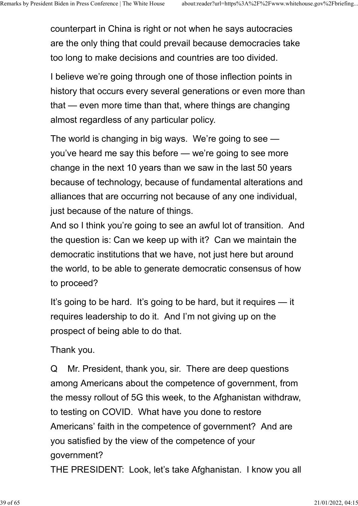counterpart in China is right or not when he says autocracies are the only thing that could prevail because democracies take too long to make decisions and countries are too divided.

I believe we're going through one of those inflection points in history that occurs every several generations or even more than that — even more time than that, where things are changing almost regardless of any particular policy.

The world is changing in big ways. We're going to see you've heard me say this before — we're going to see more change in the next 10 years than we saw in the last 50 years because of technology, because of fundamental alterations and alliances that are occurring not because of any one individual, just because of the nature of things.

And so I think you're going to see an awful lot of transition. And the question is: Can we keep up with it? Can we maintain the democratic institutions that we have, not just here but around the world, to be able to generate democratic consensus of how to proceed?

It's going to be hard. It's going to be hard, but it requires — it requires leadership to do it. And I'm not giving up on the prospect of being able to do that.

Thank you.

Q Mr. President, thank you, sir. There are deep questions among Americans about the competence of government, from the messy rollout of 5G this week, to the Afghanistan withdraw, to testing on COVID. What have you done to restore Americans' faith in the competence of government? And are you satisfied by the view of the competence of your government?

THE PRESIDENT: Look, let's take Afghanistan. I know you all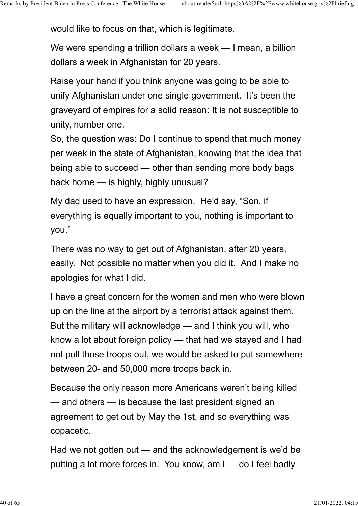would like to focus on that, which is legitimate.

We were spending a trillion dollars a week — I mean, a billion dollars a week in Afghanistan for 20 years.

Raise your hand if you think anyone was going to be able to unify Afghanistan under one single government. It's been the graveyard of empires for a solid reason: It is not susceptible to unity, number one.

So, the question was: Do I continue to spend that much money per week in the state of Afghanistan, knowing that the idea that being able to succeed — other than sending more body bags back home — is highly, highly unusual?

My dad used to have an expression. He'd say, "Son, if everything is equally important to you, nothing is important to you."

There was no way to get out of Afghanistan, after 20 years, easily. Not possible no matter when you did it. And I make no apologies for what I did.

I have a great concern for the women and men who were blown up on the line at the airport by a terrorist attack against them. But the military will acknowledge — and I think you will, who know a lot about foreign policy — that had we stayed and I had not pull those troops out, we would be asked to put somewhere between 20- and 50,000 more troops back in.

Because the only reason more Americans weren't being killed — and others — is because the last president signed an agreement to get out by May the 1st, and so everything was copacetic.

Had we not gotten out — and the acknowledgement is we'd be putting a lot more forces in. You know, am I — do I feel badly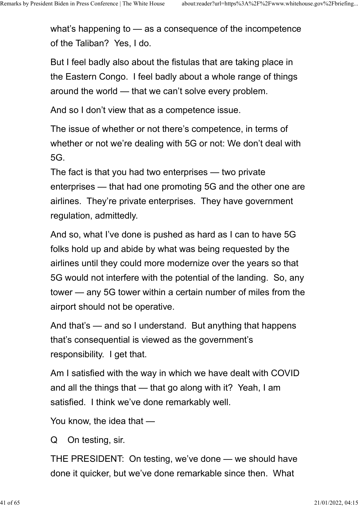what's happening to — as a consequence of the incompetence of the Taliban? Yes, I do.

But I feel badly also about the fistulas that are taking place in the Eastern Congo. I feel badly about a whole range of things around the world — that we can't solve every problem.

And so I don't view that as a competence issue.

The issue of whether or not there's competence, in terms of whether or not we're dealing with 5G or not: We don't deal with 5G.

The fact is that you had two enterprises — two private enterprises — that had one promoting 5G and the other one are airlines. They're private enterprises. They have government regulation, admittedly.

And so, what I've done is pushed as hard as I can to have 5G folks hold up and abide by what was being requested by the airlines until they could more modernize over the years so that 5G would not interfere with the potential of the landing. So, any tower — any 5G tower within a certain number of miles from the airport should not be operative.

And that's — and so I understand. But anything that happens that's consequential is viewed as the government's responsibility. I get that.

Am I satisfied with the way in which we have dealt with COVID and all the things that — that go along with it? Yeah, I am satisfied. I think we've done remarkably well.

You know, the idea that —

Q On testing, sir.

THE PRESIDENT: On testing, we've done — we should have done it quicker, but we've done remarkable since then. What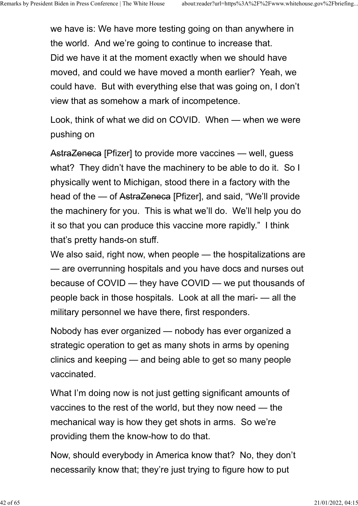we have is: We have more testing going on than anywhere in the world. And we're going to continue to increase that. Did we have it at the moment exactly when we should have moved, and could we have moved a month earlier? Yeah, we could have. But with everything else that was going on, I don't view that as somehow a mark of incompetence.

Look, think of what we did on COVID. When — when we were pushing on

AstraZeneca [Pfizer] to provide more vaccines — well, guess what? They didn't have the machinery to be able to do it. So I physically went to Michigan, stood there in a factory with the head of the — of AstraZeneca [Pfizer], and said, "We'll provide the machinery for you. This is what we'll do. We'll help you do it so that you can produce this vaccine more rapidly." I think that's pretty hands-on stuff.

We also said, right now, when people — the hospitalizations are — are overrunning hospitals and you have docs and nurses out because of COVID — they have COVID — we put thousands of people back in those hospitals. Look at all the mari- — all the military personnel we have there, first responders.

Nobody has ever organized — nobody has ever organized a strategic operation to get as many shots in arms by opening clinics and keeping — and being able to get so many people vaccinated.

What I'm doing now is not just getting significant amounts of vaccines to the rest of the world, but they now need — the mechanical way is how they get shots in arms. So we're providing them the know-how to do that.

Now, should everybody in America know that? No, they don't necessarily know that; they're just trying to figure how to put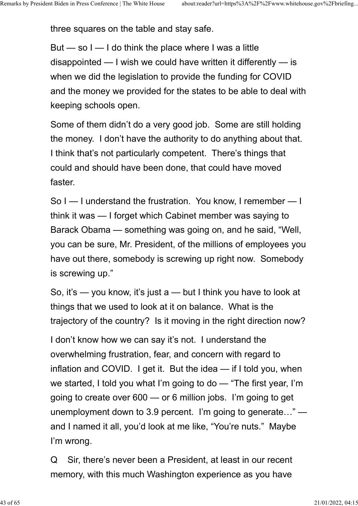three squares on the table and stay safe.

But  $-$  so  $I - I$  do think the place where I was a little disappointed — I wish we could have written it differently — is when we did the legislation to provide the funding for COVID and the money we provided for the states to be able to deal with keeping schools open.

Some of them didn't do a very good job. Some are still holding the money. I don't have the authority to do anything about that. I think that's not particularly competent. There's things that could and should have been done, that could have moved faster.

So I — I understand the frustration. You know, I remember — I think it was — I forget which Cabinet member was saying to Barack Obama — something was going on, and he said, "Well, you can be sure, Mr. President, of the millions of employees you have out there, somebody is screwing up right now. Somebody is screwing up."

So, it's — you know, it's just a — but I think you have to look at things that we used to look at it on balance. What is the trajectory of the country? Is it moving in the right direction now?

I don't know how we can say it's not. I understand the overwhelming frustration, fear, and concern with regard to inflation and COVID. I get it. But the idea — if I told you, when we started, I told you what I'm going to do — "The first year, I'm going to create over 600 — or 6 million jobs. I'm going to get unemployment down to 3.9 percent. I'm going to generate…" and I named it all, you'd look at me like, "You're nuts." Maybe I'm wrong.

Q Sir, there's never been a President, at least in our recent memory, with this much Washington experience as you have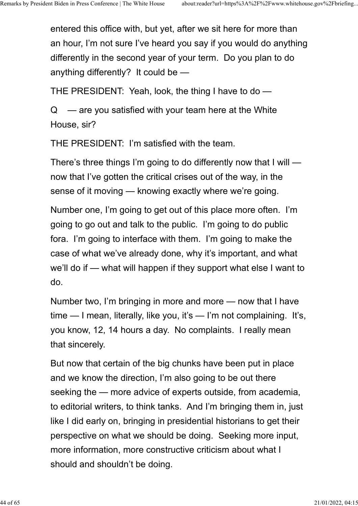entered this office with, but yet, after we sit here for more than an hour, I'm not sure I've heard you say if you would do anything differently in the second year of your term. Do you plan to do anything differently? It could be —

THE PRESIDENT: Yeah, look, the thing I have to do —

 $Q \equiv$  are you satisfied with your team here at the White House, sir?

THE PRESIDENT: I'm satisfied with the team.

There's three things I'm going to do differently now that I will now that I've gotten the critical crises out of the way, in the sense of it moving — knowing exactly where we're going.

Number one, I'm going to get out of this place more often. I'm going to go out and talk to the public. I'm going to do public fora. I'm going to interface with them. I'm going to make the case of what we've already done, why it's important, and what we'll do if — what will happen if they support what else I want to do.

Number two, I'm bringing in more and more — now that I have time — I mean, literally, like you, it's — I'm not complaining. It's, you know, 12, 14 hours a day. No complaints. I really mean that sincerely.

But now that certain of the big chunks have been put in place and we know the direction, I'm also going to be out there seeking the — more advice of experts outside, from academia, to editorial writers, to think tanks. And I'm bringing them in, just like I did early on, bringing in presidential historians to get their perspective on what we should be doing. Seeking more input, more information, more constructive criticism about what I should and shouldn't be doing.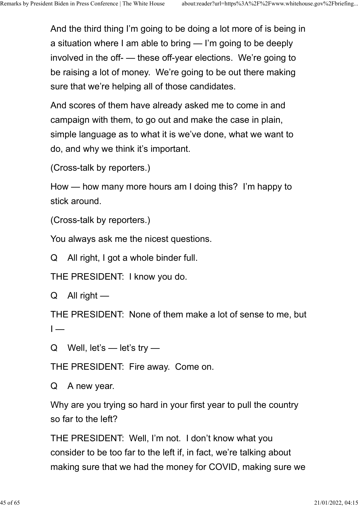And the third thing I'm going to be doing a lot more of is being in a situation where I am able to bring — I'm going to be deeply involved in the off- — these off-year elections. We're going to be raising a lot of money. We're going to be out there making sure that we're helping all of those candidates.

And scores of them have already asked me to come in and campaign with them, to go out and make the case in plain, simple language as to what it is we've done, what we want to do, and why we think it's important.

(Cross-talk by reporters.)

How — how many more hours am I doing this? I'm happy to stick around.

(Cross-talk by reporters.)

You always ask me the nicest questions.

Q All right, I got a whole binder full.

THE PRESIDENT: I know you do.

Q All right —

THE PRESIDENT: None of them make a lot of sense to me, but  $I \rightarrow$   $I \rightarrow$   $I \rightarrow$   $I \rightarrow$   $I \rightarrow$   $I \rightarrow$   $I \rightarrow$   $I \rightarrow$   $I \rightarrow$   $I \rightarrow$   $I \rightarrow$   $I \rightarrow$   $I \rightarrow$   $I \rightarrow$   $I \rightarrow$   $I \rightarrow$   $I \rightarrow$   $I \rightarrow$   $I \rightarrow$   $I \rightarrow$   $I \rightarrow$   $I \rightarrow$   $I \rightarrow$   $I \rightarrow$   $I \rightarrow$   $I \rightarrow$   $I \rightarrow$   $I \rightarrow$   $I \rightarrow$   $I \rightarrow$   $I \rightarrow$   $I \rightarrow$   $I \rightarrow$   $I \rightarrow$   $I \rightarrow$   $I \rightarrow$   $I \rightarrow$ 

Q Well, let's — let's try —

THE PRESIDENT: Fire away. Come on.

Q A new year.

Why are you trying so hard in your first year to pull the country so far to the left?

THE PRESIDENT: Well, I'm not. I don't know what you consider to be too far to the left if, in fact, we're talking about making sure that we had the money for COVID, making sure we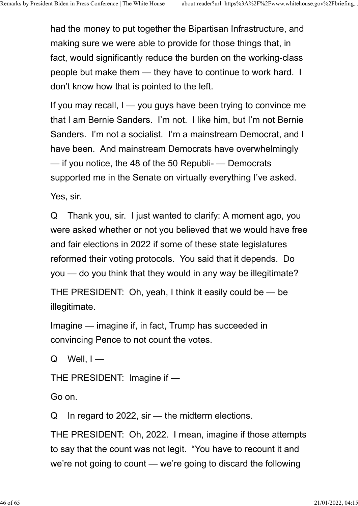had the money to put together the Bipartisan Infrastructure, and making sure we were able to provide for those things that, in fact, would significantly reduce the burden on the working-class people but make them — they have to continue to work hard. I don't know how that is pointed to the left.

If you may recall, I — you guys have been trying to convince me that I am Bernie Sanders. I'm not. I like him, but I'm not Bernie Sanders. I'm not a socialist. I'm a mainstream Democrat, and I have been. And mainstream Democrats have overwhelmingly — if you notice, the 48 of the 50 Republi- — Democrats supported me in the Senate on virtually everything I've asked.

Yes, sir.

Q Thank you, sir. I just wanted to clarify: A moment ago, you were asked whether or not you believed that we would have free and fair elections in 2022 if some of these state legislatures reformed their voting protocols. You said that it depends. Do you — do you think that they would in any way be illegitimate?

THE PRESIDENT: Oh, yeah, I think it easily could be — be illegitimate.

Imagine — imagine if, in fact, Trump has succeeded in convincing Pence to not count the votes.

 $Q$  Well,  $I$  —

THE PRESIDENT: Imagine if —

Go on.

Q In regard to 2022, sir — the midterm elections.

THE PRESIDENT: Oh, 2022. I mean, imagine if those attempts to say that the count was not legit. "You have to recount it and we're not going to count — we're going to discard the following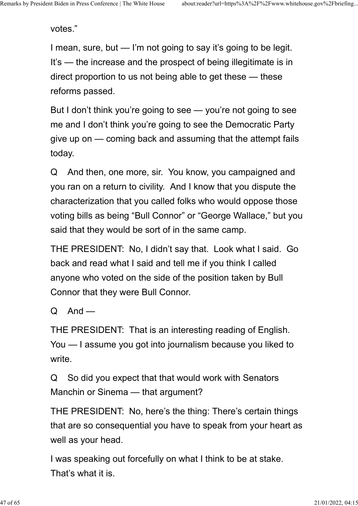votes."

I mean, sure, but — I'm not going to say it's going to be legit. It's — the increase and the prospect of being illegitimate is in direct proportion to us not being able to get these — these reforms passed.

But I don't think you're going to see — you're not going to see me and I don't think you're going to see the Democratic Party give up on — coming back and assuming that the attempt fails today.

Q And then, one more, sir. You know, you campaigned and you ran on a return to civility. And I know that you dispute the characterization that you called folks who would oppose those voting bills as being "Bull Connor" or "George Wallace," but you said that they would be sort of in the same camp.

THE PRESIDENT: No, I didn't say that. Look what I said. Go back and read what I said and tell me if you think I called anyone who voted on the side of the position taken by Bull Connor that they were Bull Connor.

 $Q$  And —

THE PRESIDENT: That is an interesting reading of English. You — I assume you got into journalism because you liked to write

Q So did you expect that that would work with Senators Manchin or Sinema — that argument?

THE PRESIDENT: No, here's the thing: There's certain things that are so consequential you have to speak from your heart as well as your head.

I was speaking out forcefully on what I think to be at stake. That's what it is.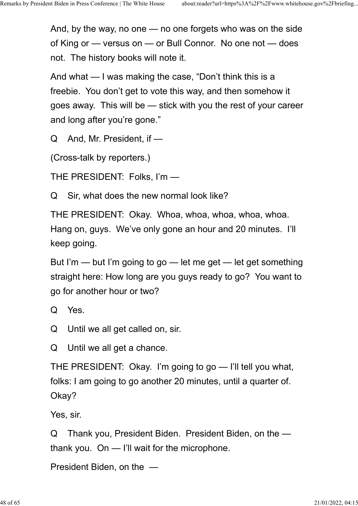And, by the way, no one — no one forgets who was on the side of King or — versus on — or Bull Connor. No one not — does not. The history books will note it.

And what — I was making the case, "Don't think this is a freebie. You don't get to vote this way, and then somehow it goes away. This will be — stick with you the rest of your career and long after you're gone."

Q And, Mr. President, if —

(Cross-talk by reporters.)

THE PRESIDENT: Folks, I'm —

Q Sir, what does the new normal look like?

THE PRESIDENT: Okay. Whoa, whoa, whoa, whoa, whoa. Hang on, guys. We've only gone an hour and 20 minutes. I'll keep going.

But I'm — but I'm going to go — let me get — let get something straight here: How long are you guys ready to go? You want to go for another hour or two?

Q Yes.

Q Until we all get called on, sir.

Q Until we all get a chance.

THE PRESIDENT: Okay. I'm going to go — I'll tell you what, folks: I am going to go another 20 minutes, until a quarter of. Okay?

Yes, sir.

Q Thank you, President Biden. President Biden, on the thank you. On — I'll wait for the microphone.

President Biden, on the —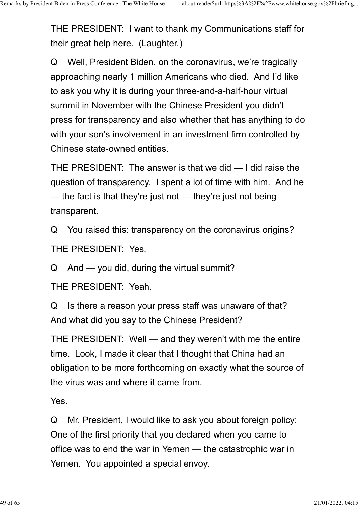THE PRESIDENT: I want to thank my Communications staff for their great help here. (Laughter.)

Q Well, President Biden, on the coronavirus, we're tragically approaching nearly 1 million Americans who died. And I'd like to ask you why it is during your three-and-a-half-hour virtual summit in November with the Chinese President you didn't press for transparency and also whether that has anything to do with your son's involvement in an investment firm controlled by Chinese state-owned entities.

THE PRESIDENT: The answer is that we did — I did raise the question of transparency. I spent a lot of time with him. And he — the fact is that they're just not — they're just not being transparent.

Q You raised this: transparency on the coronavirus origins? THE PRESIDENT: Yes.

Q And — you did, during the virtual summit?

THE PRESIDENT: Yeah.

Q Is there a reason your press staff was unaware of that? And what did you say to the Chinese President?

THE PRESIDENT: Well — and they weren't with me the entire time. Look, I made it clear that I thought that China had an obligation to be more forthcoming on exactly what the source of the virus was and where it came from.

Yes.

Q Mr. President, I would like to ask you about foreign policy: One of the first priority that you declared when you came to office was to end the war in Yemen — the catastrophic war in Yemen. You appointed a special envoy.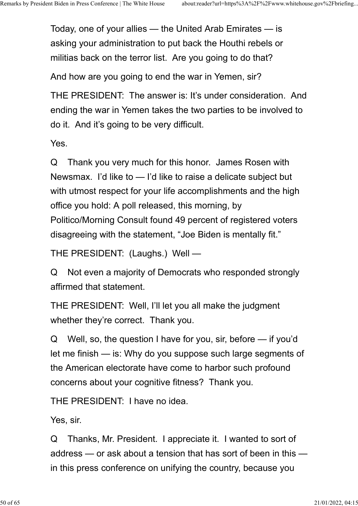Today, one of your allies — the United Arab Emirates — is asking your administration to put back the Houthi rebels or militias back on the terror list. Are you going to do that?

And how are you going to end the war in Yemen, sir?

THE PRESIDENT: The answer is: It's under consideration. And ending the war in Yemen takes the two parties to be involved to do it. And it's going to be very difficult.

Yes.

Q Thank you very much for this honor. James Rosen with Newsmax. I'd like to — I'd like to raise a delicate subject but with utmost respect for your life accomplishments and the high office you hold: A poll released, this morning, by Politico/Morning Consult found 49 percent of registered voters disagreeing with the statement, "Joe Biden is mentally fit."

THE PRESIDENT: (Laughs.) Well —

Q Not even a majority of Democrats who responded strongly affirmed that statement.

THE PRESIDENT: Well, I'll let you all make the judgment whether they're correct. Thank you.

Q Well, so, the question I have for you, sir, before — if you'd let me finish — is: Why do you suppose such large segments of the American electorate have come to harbor such profound concerns about your cognitive fitness? Thank you.

THE PRESIDENT: I have no idea.

Yes, sir.

Q Thanks, Mr. President. I appreciate it. I wanted to sort of address — or ask about a tension that has sort of been in this in this press conference on unifying the country, because you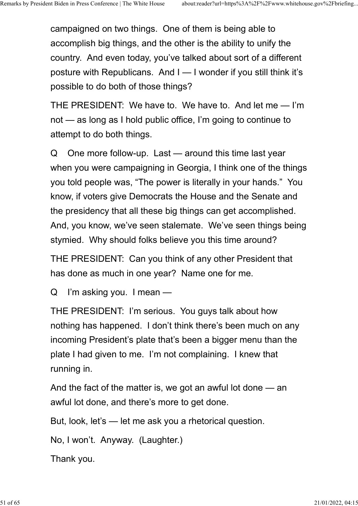campaigned on two things. One of them is being able to accomplish big things, and the other is the ability to unify the country. And even today, you've talked about sort of a different posture with Republicans. And I — I wonder if you still think it's possible to do both of those things?

THE PRESIDENT: We have to. We have to. And let me — I'm not — as long as I hold public office, I'm going to continue to attempt to do both things.

Q One more follow-up. Last — around this time last year when you were campaigning in Georgia, I think one of the things you told people was, "The power is literally in your hands." You know, if voters give Democrats the House and the Senate and the presidency that all these big things can get accomplished. And, you know, we've seen stalemate. We've seen things being stymied. Why should folks believe you this time around?

THE PRESIDENT: Can you think of any other President that has done as much in one year? Name one for me.

Q I'm asking you. I mean —

THE PRESIDENT: I'm serious. You guys talk about how nothing has happened. I don't think there's been much on any incoming President's plate that's been a bigger menu than the plate I had given to me. I'm not complaining. I knew that running in.

And the fact of the matter is, we got an awful lot done — an awful lot done, and there's more to get done.

But, look, let's — let me ask you a rhetorical question.

No, I won't. Anyway. (Laughter.)

Thank you.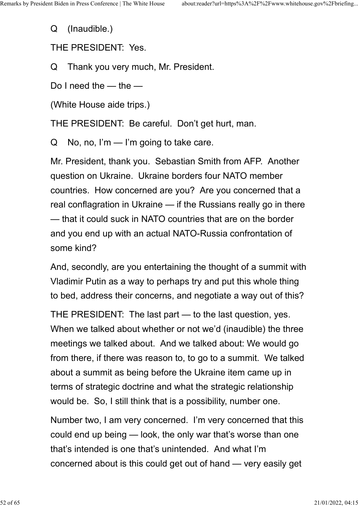Q (Inaudible.)

THE PRESIDENT: Yes.

Q Thank you very much, Mr. President.

Do I need the — the —

(White House aide trips.)

THE PRESIDENT: Be careful. Don't get hurt, man.

Q No, no, I'm — I'm going to take care.

Mr. President, thank you. Sebastian Smith from AFP. Another question on Ukraine. Ukraine borders four NATO member countries. How concerned are you? Are you concerned that a real conflagration in Ukraine — if the Russians really go in there — that it could suck in NATO countries that are on the border and you end up with an actual NATO-Russia confrontation of some kind?

And, secondly, are you entertaining the thought of a summit with Vladimir Putin as a way to perhaps try and put this whole thing to bed, address their concerns, and negotiate a way out of this?

THE PRESIDENT: The last part — to the last question, yes. When we talked about whether or not we'd (inaudible) the three meetings we talked about. And we talked about: We would go from there, if there was reason to, to go to a summit. We talked about a summit as being before the Ukraine item came up in terms of strategic doctrine and what the strategic relationship would be. So, I still think that is a possibility, number one.

Number two, I am very concerned. I'm very concerned that this could end up being — look, the only war that's worse than one that's intended is one that's unintended. And what I'm concerned about is this could get out of hand — very easily get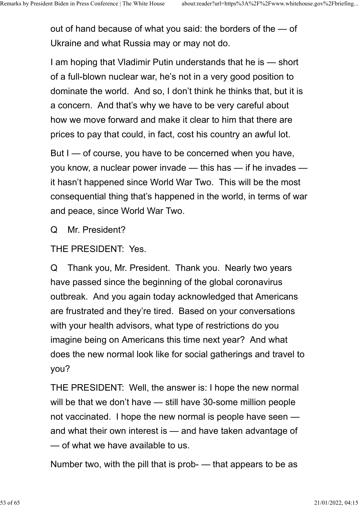out of hand because of what you said: the borders of the — of Ukraine and what Russia may or may not do.

I am hoping that Vladimir Putin understands that he is — short of a full-blown nuclear war, he's not in a very good position to dominate the world. And so, I don't think he thinks that, but it is a concern. And that's why we have to be very careful about how we move forward and make it clear to him that there are prices to pay that could, in fact, cost his country an awful lot.

But I — of course, you have to be concerned when you have, you know, a nuclear power invade — this has — if he invades it hasn't happened since World War Two. This will be the most consequential thing that's happened in the world, in terms of war and peace, since World War Two.

Q Mr. President?

THE PRESIDENT: Yes.

Q Thank you, Mr. President. Thank you. Nearly two years have passed since the beginning of the global coronavirus outbreak. And you again today acknowledged that Americans are frustrated and they're tired. Based on your conversations with your health advisors, what type of restrictions do you imagine being on Americans this time next year? And what does the new normal look like for social gatherings and travel to you?

THE PRESIDENT: Well, the answer is: I hope the new normal will be that we don't have — still have 30-some million people not vaccinated. I hope the new normal is people have seen and what their own interest is — and have taken advantage of — of what we have available to us.

Number two, with the pill that is prob- — that appears to be as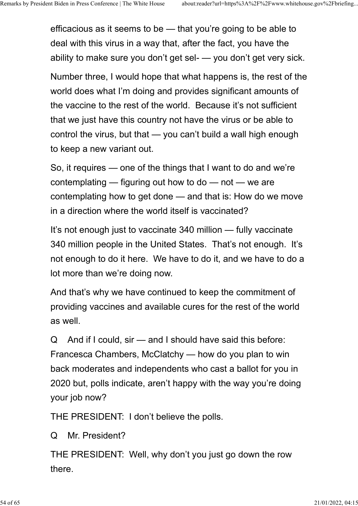efficacious as it seems to be — that you're going to be able to deal with this virus in a way that, after the fact, you have the ability to make sure you don't get sel- — you don't get very sick.

Number three, I would hope that what happens is, the rest of the world does what I'm doing and provides significant amounts of the vaccine to the rest of the world. Because it's not sufficient that we just have this country not have the virus or be able to control the virus, but that — you can't build a wall high enough to keep a new variant out.

So, it requires — one of the things that I want to do and we're contemplating — figuring out how to do — not — we are contemplating how to get done — and that is: How do we move in a direction where the world itself is vaccinated?

It's not enough just to vaccinate 340 million — fully vaccinate 340 million people in the United States. That's not enough. It's not enough to do it here. We have to do it, and we have to do a lot more than we're doing now.

And that's why we have continued to keep the commitment of providing vaccines and available cures for the rest of the world as well.

Q And if I could, sir — and I should have said this before: Francesca Chambers, McClatchy — how do you plan to win back moderates and independents who cast a ballot for you in 2020 but, polls indicate, aren't happy with the way you're doing your job now?

THE PRESIDENT: I don't believe the polls.

Q Mr. President?

THE PRESIDENT: Well, why don't you just go down the row there.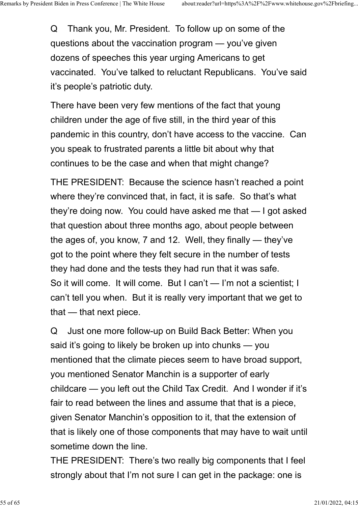Q Thank you, Mr. President. To follow up on some of the questions about the vaccination program — you've given dozens of speeches this year urging Americans to get vaccinated. You've talked to reluctant Republicans. You've said it's people's patriotic duty.

There have been very few mentions of the fact that young children under the age of five still, in the third year of this pandemic in this country, don't have access to the vaccine. Can you speak to frustrated parents a little bit about why that continues to be the case and when that might change?

THE PRESIDENT: Because the science hasn't reached a point where they're convinced that, in fact, it is safe. So that's what they're doing now. You could have asked me that — I got asked that question about three months ago, about people between the ages of, you know, 7 and 12. Well, they finally — they've got to the point where they felt secure in the number of tests they had done and the tests they had run that it was safe. So it will come. It will come. But I can't - I'm not a scientist; I can't tell you when. But it is really very important that we get to that — that next piece.

Q Just one more follow-up on Build Back Better: When you said it's going to likely be broken up into chunks — you mentioned that the climate pieces seem to have broad support, you mentioned Senator Manchin is a supporter of early childcare — you left out the Child Tax Credit. And I wonder if it's fair to read between the lines and assume that that is a piece, given Senator Manchin's opposition to it, that the extension of that is likely one of those components that may have to wait until sometime down the line.

THE PRESIDENT: There's two really big components that I feel strongly about that I'm not sure I can get in the package: one is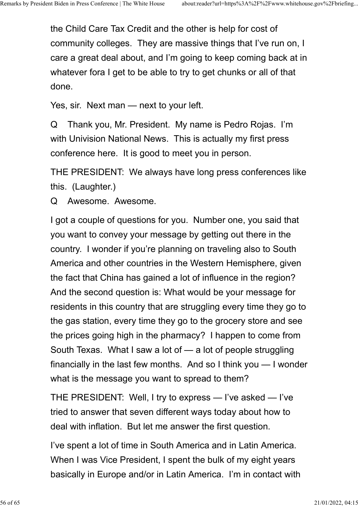the Child Care Tax Credit and the other is help for cost of community colleges. They are massive things that I've run on, I care a great deal about, and I'm going to keep coming back at in whatever fora I get to be able to try to get chunks or all of that done.

Yes, sir. Next man — next to your left.

Q Thank you, Mr. President. My name is Pedro Rojas. I'm with Univision National News. This is actually my first press conference here. It is good to meet you in person.

THE PRESIDENT: We always have long press conferences like this. (Laughter.)

Q Awesome. Awesome.

I got a couple of questions for you. Number one, you said that you want to convey your message by getting out there in the country. I wonder if you're planning on traveling also to South America and other countries in the Western Hemisphere, given the fact that China has gained a lot of influence in the region? And the second question is: What would be your message for residents in this country that are struggling every time they go to the gas station, every time they go to the grocery store and see the prices going high in the pharmacy? I happen to come from South Texas. What I saw a lot of — a lot of people struggling financially in the last few months. And so I think you — I wonder what is the message you want to spread to them?

THE PRESIDENT: Well, I try to express — I've asked — I've tried to answer that seven different ways today about how to deal with inflation. But let me answer the first question.

I've spent a lot of time in South America and in Latin America. When I was Vice President, I spent the bulk of my eight years basically in Europe and/or in Latin America. I'm in contact with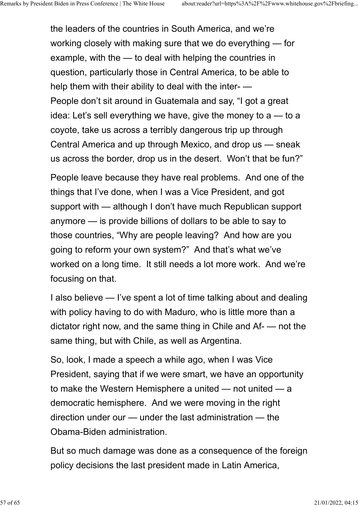the leaders of the countries in South America, and we're working closely with making sure that we do everything — for example, with the — to deal with helping the countries in question, particularly those in Central America, to be able to help them with their ability to deal with the inter- — People don't sit around in Guatemala and say, "I got a great idea: Let's sell everything we have, give the money to a — to a coyote, take us across a terribly dangerous trip up through Central America and up through Mexico, and drop us — sneak us across the border, drop us in the desert. Won't that be fun?"

People leave because they have real problems. And one of the things that I've done, when I was a Vice President, and got support with — although I don't have much Republican support anymore — is provide billions of dollars to be able to say to those countries, "Why are people leaving? And how are you going to reform your own system?" And that's what we've worked on a long time. It still needs a lot more work. And we're focusing on that.

I also believe — I've spent a lot of time talking about and dealing with policy having to do with Maduro, who is little more than a dictator right now, and the same thing in Chile and Af- — not the same thing, but with Chile, as well as Argentina.

So, look, I made a speech a while ago, when I was Vice President, saying that if we were smart, we have an opportunity to make the Western Hemisphere a united — not united — a democratic hemisphere. And we were moving in the right direction under our — under the last administration — the Obama-Biden administration.

But so much damage was done as a consequence of the foreign policy decisions the last president made in Latin America,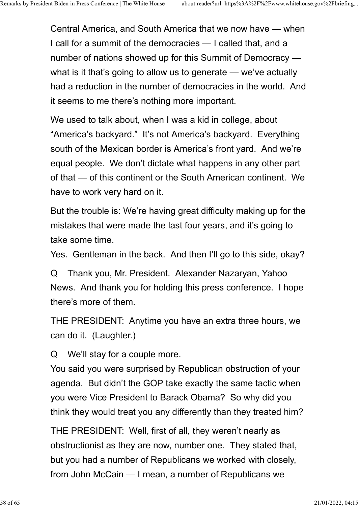Central America, and South America that we now have — when I call for a summit of the democracies — I called that, and a number of nations showed up for this Summit of Democracy what is it that's going to allow us to generate — we've actually had a reduction in the number of democracies in the world. And it seems to me there's nothing more important.

We used to talk about, when I was a kid in college, about "America's backyard." It's not America's backyard. Everything south of the Mexican border is America's front yard. And we're equal people. We don't dictate what happens in any other part of that — of this continent or the South American continent. We have to work very hard on it.

But the trouble is: We're having great difficulty making up for the mistakes that were made the last four years, and it's going to take some time.

Yes. Gentleman in the back. And then I'll go to this side, okay?

Q Thank you, Mr. President. Alexander Nazaryan, Yahoo News. And thank you for holding this press conference. I hope there's more of them.

THE PRESIDENT: Anytime you have an extra three hours, we can do it. (Laughter.)

Q We'll stay for a couple more.

You said you were surprised by Republican obstruction of your agenda. But didn't the GOP take exactly the same tactic when you were Vice President to Barack Obama? So why did you think they would treat you any differently than they treated him?

THE PRESIDENT: Well, first of all, they weren't nearly as obstructionist as they are now, number one. They stated that, but you had a number of Republicans we worked with closely, from John McCain — I mean, a number of Republicans we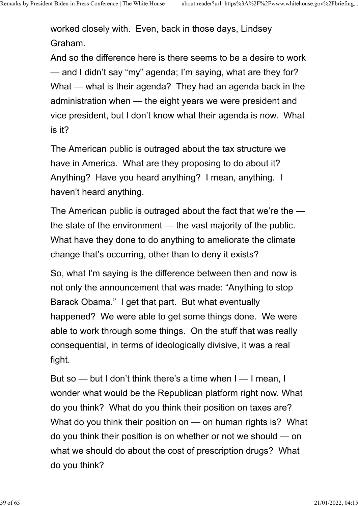worked closely with. Even, back in those days, Lindsey Graham.

And so the difference here is there seems to be a desire to work — and I didn't say "my" agenda; I'm saying, what are they for? What — what is their agenda? They had an agenda back in the administration when — the eight years we were president and vice president, but I don't know what their agenda is now. What is it?

The American public is outraged about the tax structure we have in America. What are they proposing to do about it? Anything? Have you heard anything? I mean, anything. I haven't heard anything.

The American public is outraged about the fact that we're the the state of the environment — the vast majority of the public. What have they done to do anything to ameliorate the climate change that's occurring, other than to deny it exists?

So, what I'm saying is the difference between then and now is not only the announcement that was made: "Anything to stop Barack Obama." I get that part. But what eventually happened? We were able to get some things done. We were able to work through some things. On the stuff that was really consequential, in terms of ideologically divisive, it was a real fight.

But so — but I don't think there's a time when I — I mean, I wonder what would be the Republican platform right now. What do you think? What do you think their position on taxes are? What do you think their position on — on human rights is? What do you think their position is on whether or not we should — on what we should do about the cost of prescription drugs? What do you think?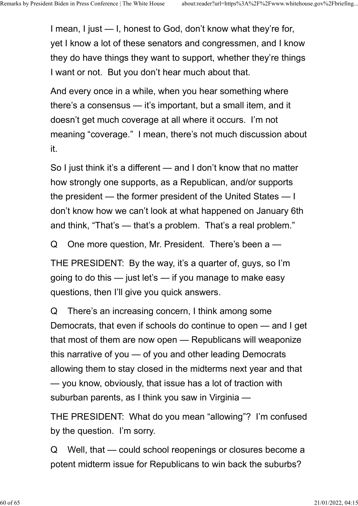I mean, I just — I, honest to God, don't know what they're for, yet I know a lot of these senators and congressmen, and I know they do have things they want to support, whether they're things I want or not. But you don't hear much about that.

And every once in a while, when you hear something where there's a consensus — it's important, but a small item, and it doesn't get much coverage at all where it occurs. I'm not meaning "coverage." I mean, there's not much discussion about it.

So I just think it's a different — and I don't know that no matter how strongly one supports, as a Republican, and/or supports the president — the former president of the United States — I don't know how we can't look at what happened on January 6th and think, "That's — that's a problem. That's a real problem."

Q One more question, Mr. President. There's been a —

THE PRESIDENT: By the way, it's a quarter of, guys, so I'm going to do this — just let's — if you manage to make easy questions, then I'll give you quick answers.

Q There's an increasing concern, I think among some Democrats, that even if schools do continue to open — and I get that most of them are now open — Republicans will weaponize this narrative of you — of you and other leading Democrats allowing them to stay closed in the midterms next year and that — you know, obviously, that issue has a lot of traction with suburban parents, as I think you saw in Virginia —

THE PRESIDENT: What do you mean "allowing"? I'm confused by the question. I'm sorry.

Q Well, that — could school reopenings or closures become a potent midterm issue for Republicans to win back the suburbs?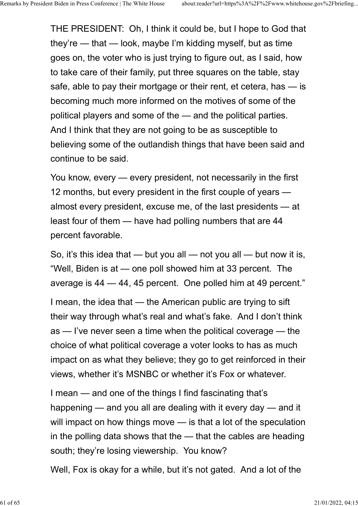THE PRESIDENT: Oh, I think it could be, but I hope to God that they're — that — look, maybe I'm kidding myself, but as time goes on, the voter who is just trying to figure out, as I said, how to take care of their family, put three squares on the table, stay safe, able to pay their mortgage or their rent, et cetera, has — is becoming much more informed on the motives of some of the political players and some of the — and the political parties. And I think that they are not going to be as susceptible to believing some of the outlandish things that have been said and continue to be said.

You know, every — every president, not necessarily in the first 12 months, but every president in the first couple of years almost every president, excuse me, of the last presidents — at least four of them — have had polling numbers that are 44 percent favorable.

So, it's this idea that  $-$  but you all  $-$  not you all  $-$  but now it is, "Well, Biden is at — one poll showed him at 33 percent. The average is 44 — 44, 45 percent. One polled him at 49 percent."

I mean, the idea that — the American public are trying to sift their way through what's real and what's fake. And I don't think as — I've never seen a time when the political coverage — the choice of what political coverage a voter looks to has as much impact on as what they believe; they go to get reinforced in their views, whether it's MSNBC or whether it's Fox or whatever.

I mean — and one of the things I find fascinating that's happening — and you all are dealing with it every day — and it will impact on how things move — is that a lot of the speculation in the polling data shows that the — that the cables are heading south; they're losing viewership. You know?

Well, Fox is okay for a while, but it's not gated. And a lot of the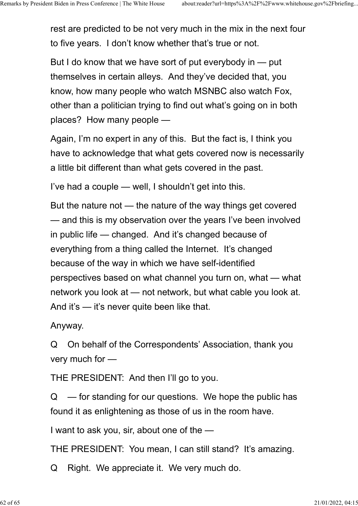rest are predicted to be not very much in the mix in the next four to five years. I don't know whether that's true or not.

But I do know that we have sort of put everybody in — put themselves in certain alleys. And they've decided that, you know, how many people who watch MSNBC also watch Fox, other than a politician trying to find out what's going on in both places? How many people —

Again, I'm no expert in any of this. But the fact is, I think you have to acknowledge that what gets covered now is necessarily a little bit different than what gets covered in the past.

I've had a couple — well, I shouldn't get into this.

But the nature not — the nature of the way things get covered — and this is my observation over the years I've been involved in public life — changed. And it's changed because of everything from a thing called the Internet. It's changed because of the way in which we have self-identified perspectives based on what channel you turn on, what — what network you look at — not network, but what cable you look at. And it's — it's never quite been like that.

Anyway.

Q On behalf of the Correspondents' Association, thank you very much for —

THE PRESIDENT: And then I'll go to you.

 $Q \equiv$  for standing for our questions. We hope the public has found it as enlightening as those of us in the room have.

I want to ask you, sir, about one of the —

THE PRESIDENT: You mean, I can still stand? It's amazing.

Q Right. We appreciate it. We very much do.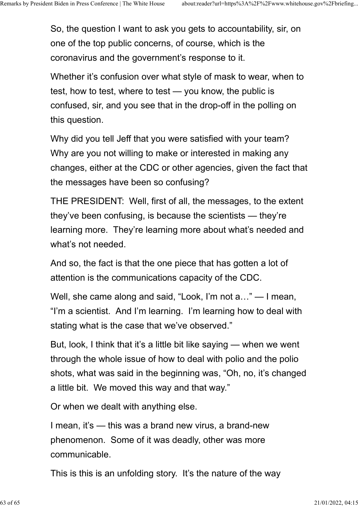So, the question I want to ask you gets to accountability, sir, on one of the top public concerns, of course, which is the coronavirus and the government's response to it.

Whether it's confusion over what style of mask to wear, when to test, how to test, where to test — you know, the public is confused, sir, and you see that in the drop-off in the polling on this question.

Why did you tell Jeff that you were satisfied with your team? Why are you not willing to make or interested in making any changes, either at the CDC or other agencies, given the fact that the messages have been so confusing?

THE PRESIDENT: Well, first of all, the messages, to the extent they've been confusing, is because the scientists — they're learning more. They're learning more about what's needed and what's not needed.

And so, the fact is that the one piece that has gotten a lot of attention is the communications capacity of the CDC.

Well, she came along and said, "Look, I'm not a…" — I mean, "I'm a scientist. And I'm learning. I'm learning how to deal with stating what is the case that we've observed."

But, look, I think that it's a little bit like saying — when we went through the whole issue of how to deal with polio and the polio shots, what was said in the beginning was, "Oh, no, it's changed a little bit. We moved this way and that way."

Or when we dealt with anything else.

I mean, it's — this was a brand new virus, a brand-new phenomenon. Some of it was deadly, other was more communicable.

This is this is an unfolding story. It's the nature of the way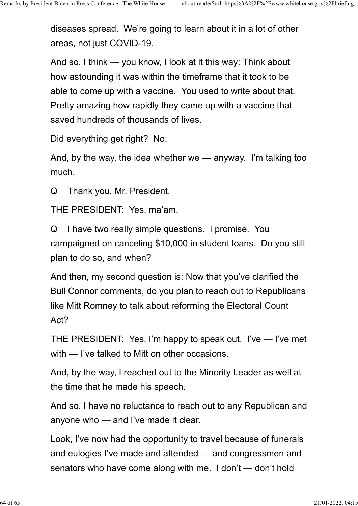diseases spread. We're going to learn about it in a lot of other areas, not just COVID-19.

And so, I think — you know, I look at it this way: Think about how astounding it was within the timeframe that it took to be able to come up with a vaccine. You used to write about that. Pretty amazing how rapidly they came up with a vaccine that saved hundreds of thousands of lives.

Did everything get right? No.

And, by the way, the idea whether we — anyway. I'm talking too much.

Q Thank you, Mr. President.

THE PRESIDENT: Yes, ma'am.

Q I have two really simple questions. I promise. You campaigned on canceling \$10,000 in student loans. Do you still plan to do so, and when?

And then, my second question is: Now that you've clarified the Bull Connor comments, do you plan to reach out to Republicans like Mitt Romney to talk about reforming the Electoral Count Act?

THE PRESIDENT: Yes, I'm happy to speak out. I've — I've met with — I've talked to Mitt on other occasions.

And, by the way, I reached out to the Minority Leader as well at the time that he made his speech.

And so, I have no reluctance to reach out to any Republican and anyone who — and I've made it clear.

Look, I've now had the opportunity to travel because of funerals and eulogies I've made and attended — and congressmen and senators who have come along with me. I don't — don't hold